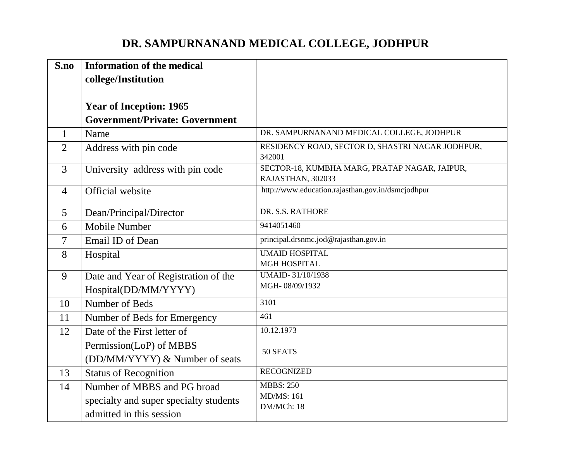## **DR. SAMPURNANAND MEDICAL COLLEGE, JODHPUR**

| S.no           | <b>Information of the medical</b><br>college/Institution |                                                                    |
|----------------|----------------------------------------------------------|--------------------------------------------------------------------|
|                | <b>Year of Inception: 1965</b>                           |                                                                    |
|                | <b>Government/Private: Government</b>                    |                                                                    |
| 1              | Name                                                     | DR. SAMPURNANAND MEDICAL COLLEGE, JODHPUR                          |
| $\overline{2}$ | Address with pin code                                    | RESIDENCY ROAD, SECTOR D, SHASTRI NAGAR JODHPUR,<br>342001         |
| $\overline{3}$ | University address with pin code                         | SECTOR-18, KUMBHA MARG, PRATAP NAGAR, JAIPUR,<br>RAJASTHAN, 302033 |
| $\overline{4}$ | Official website                                         | http://www.education.rajasthan.gov.in/dsmcjodhpur                  |
| 5              | Dean/Principal/Director                                  | DR. S.S. RATHORE                                                   |
| 6              | Mobile Number                                            | 9414051460                                                         |
| 7              | Email ID of Dean                                         | principal.drsnmc.jod@rajasthan.gov.in                              |
| 8              | Hospital                                                 | <b>UMAID HOSPITAL</b>                                              |
|                |                                                          | <b>MGH HOSPITAL</b>                                                |
| 9              | Date and Year of Registration of the                     | <b>UMAID-31/10/1938</b><br>MGH-08/09/1932                          |
|                | Hospital(DD/MM/YYYY)                                     |                                                                    |
| 10             | Number of Beds                                           | 3101                                                               |
| 11             | Number of Beds for Emergency                             | 461                                                                |
| 12             | Date of the First letter of                              | 10.12.1973                                                         |
|                | Permission(LoP) of MBBS                                  | 50 SEATS                                                           |
|                | (DD/MM/YYYY) & Number of seats                           |                                                                    |
| 13             | <b>Status of Recognition</b>                             | <b>RECOGNIZED</b>                                                  |
| 14             | Number of MBBS and PG broad                              | <b>MBBS: 250</b>                                                   |
|                | specialty and super specialty students                   | <b>MD/MS: 161</b>                                                  |
|                | admitted in this session                                 | DM/MCh: 18                                                         |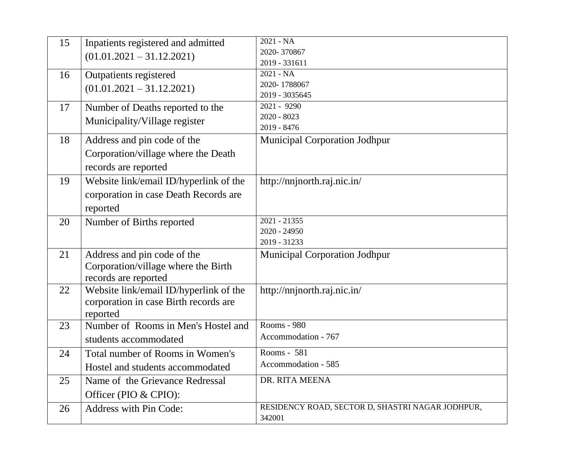| 15 | Inpatients registered and admitted     | 2021 - NA                                        |
|----|----------------------------------------|--------------------------------------------------|
|    | $(01.01.2021 - 31.12.2021)$            | 2020-370867                                      |
|    |                                        | 2019 - 331611                                    |
| 16 | Outpatients registered                 | 2021 - NA                                        |
|    | $(01.01.2021 - 31.12.2021)$            | 2020-1788067                                     |
|    |                                        | 2019 - 3035645                                   |
| 17 | Number of Deaths reported to the       | 2021 - 9290                                      |
|    | Municipality/Village register          | $2020 - 8023$                                    |
|    |                                        | 2019 - 8476                                      |
| 18 | Address and pin code of the            | <b>Municipal Corporation Jodhpur</b>             |
|    | Corporation/village where the Death    |                                                  |
|    | records are reported                   |                                                  |
| 19 | Website link/email ID/hyperlink of the | http://nnjnorth.raj.nic.in/                      |
|    | corporation in case Death Records are  |                                                  |
|    | reported                               |                                                  |
|    |                                        | 2021 - 21355                                     |
| 20 | Number of Births reported              | 2020 - 24950                                     |
|    |                                        | 2019 - 31233                                     |
| 21 | Address and pin code of the            | <b>Municipal Corporation Jodhpur</b>             |
|    | Corporation/village where the Birth    |                                                  |
|    | records are reported                   |                                                  |
| 22 | Website link/email ID/hyperlink of the | http://nnjnorth.raj.nic.in/                      |
|    |                                        |                                                  |
|    | corporation in case Birth records are  |                                                  |
|    | reported                               | Rooms - 980                                      |
| 23 | Number of Rooms in Men's Hostel and    | Accommodation - 767                              |
|    | students accommodated                  |                                                  |
| 24 | Total number of Rooms in Women's       | Rooms - 581                                      |
|    | Hostel and students accommodated       | Accommodation - 585                              |
| 25 | Name of the Grievance Redressal        | DR. RITA MEENA                                   |
|    | Officer (PIO & CPIO):                  |                                                  |
| 26 | <b>Address with Pin Code:</b>          | RESIDENCY ROAD, SECTOR D, SHASTRI NAGAR JODHPUR, |
|    |                                        | 342001                                           |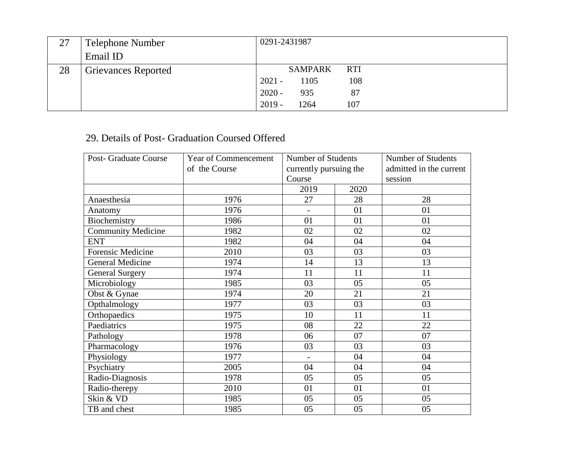| 27 | Telephone Number           | 0291-2431987            |
|----|----------------------------|-------------------------|
|    | Email ID                   |                         |
| 28 | <b>Grievances Reported</b> | SAMPARK<br><b>RTI</b>   |
|    |                            | $2021 -$<br>108<br>1105 |
|    |                            | $2020 -$<br>935<br>87   |
|    |                            | $2019 -$<br>1264<br>107 |

## 29. Details of Post- Graduation Coursed Offered

| <b>Post- Graduate Course</b> | Year of Commencement | Number of Students       |      | Number of Students      |
|------------------------------|----------------------|--------------------------|------|-------------------------|
|                              | of the Course        | currently pursuing the   |      | admitted in the current |
|                              |                      | Course                   |      | session                 |
|                              |                      | 2019                     | 2020 |                         |
| Anaesthesia                  | 1976                 | 27                       | 28   | 28                      |
| Anatomy                      | 1976                 |                          | 01   | 01                      |
| Biochemistry                 | 1986                 | 01                       | 01   | 01                      |
| <b>Community Medicine</b>    | 1982                 | 02                       | 02   | 02                      |
| <b>ENT</b>                   | 1982                 | 04                       | 04   | 04                      |
| <b>Forensic Medicine</b>     | 2010                 | 03                       | 03   | 03                      |
| <b>General Medicine</b>      | 1974                 | 14                       | 13   | 13                      |
| <b>General Surgery</b>       | 1974                 | 11                       | 11   | 11                      |
| Microbiology                 | 1985                 | 03                       | 05   | 05                      |
| Obst & Gynae                 | 1974                 | 20                       | 21   | 21                      |
| Opthalmology                 | 1977                 | 03                       | 03   | 03                      |
| Orthopaedics                 | 1975                 | 10                       | 11   | 11                      |
| Paediatrics                  | 1975                 | 08                       | 22   | 22                      |
| Pathology                    | 1978                 | 06                       | 07   | 07                      |
| Pharmacology                 | 1976                 | 03                       | 03   | 03                      |
| Physiology                   | 1977                 | $\overline{\phantom{a}}$ | 04   | 04                      |
| Psychiatry                   | 2005                 | 04                       | 04   | 04                      |
| Radio-Diagnosis              | 1978                 | 05                       | 05   | 05                      |
| Radio-therepy                | 2010                 | 01                       | 01   | 01                      |
| Skin & VD                    | 1985                 | 05                       | 05   | 05                      |
| TB and chest                 | 1985                 | 05                       | 05   | 05                      |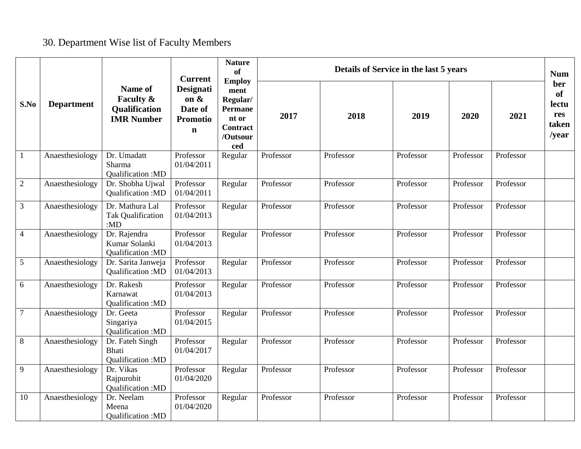## 30. Department Wise list of Faculty Members

|                  |                   |                                                            | <b>Current</b>                                                    | <b>Nature</b><br>of<br><b>Employ</b>                                              |           |           | Details of Service in the last 5 years |           |           | <b>Num</b>                                                 |
|------------------|-------------------|------------------------------------------------------------|-------------------------------------------------------------------|-----------------------------------------------------------------------------------|-----------|-----------|----------------------------------------|-----------|-----------|------------------------------------------------------------|
| S.No             | <b>Department</b> | Name of<br>Faculty &<br>Qualification<br><b>IMR Number</b> | Designati<br>on $\&$<br>Date of<br><b>Promotio</b><br>$\mathbf n$ | ment<br>Regular/<br><b>Permane</b><br>nt or<br><b>Contract</b><br>/Outsour<br>ced | 2017      | 2018      | 2019                                   | 2020      | 2021      | ber<br><b>of</b><br>lectu<br>res<br>taken<br>$\sqrt{year}$ |
| $\mathbf{1}$     | Anaesthesiology   | Dr. Umadatt<br>Sharma<br>Qualification: MD                 | Professor<br>01/04/2011                                           | Regular                                                                           | Professor | Professor | Professor                              | Professor | Professor |                                                            |
| $\boldsymbol{2}$ | Anaesthesiology   | Dr. Shobha Ujwal<br>Qualification: MD                      | Professor<br>01/04/2011                                           | Regular                                                                           | Professor | Professor | Professor                              | Professor | Professor |                                                            |
| 3                | Anaesthesiology   | Dr. Mathura Lal<br><b>Tak Qualification</b><br>: $MD$      | Professor<br>01/04/2013                                           | Regular                                                                           | Professor | Professor | Professor                              | Professor | Professor |                                                            |
| $\overline{4}$   | Anaesthesiology   | Dr. Rajendra<br>Kumar Solanki<br>Qualification: MD         | Professor<br>01/04/2013                                           | Regular                                                                           | Professor | Professor | Professor                              | Professor | Professor |                                                            |
| 5                | Anaesthesiology   | Dr. Sarita Janweja<br>Qualification: MD                    | Professor<br>01/04/2013                                           | Regular                                                                           | Professor | Professor | Professor                              | Professor | Professor |                                                            |
| 6                | Anaesthesiology   | Dr. Rakesh<br>Karnawat<br>Qualification: MD                | Professor<br>01/04/2013                                           | Regular                                                                           | Professor | Professor | Professor                              | Professor | Professor |                                                            |
| $\overline{7}$   | Anaesthesiology   | Dr. Geeta<br>Singariya<br>Qualification: MD                | Professor<br>01/04/2015                                           | Regular                                                                           | Professor | Professor | Professor                              | Professor | Professor |                                                            |
| $8\,$            | Anaesthesiology   | Dr. Fateh Singh<br><b>Bhati</b><br>Qualification: MD       | Professor<br>01/04/2017                                           | Regular                                                                           | Professor | Professor | Professor                              | Professor | Professor |                                                            |
| 9                | Anaesthesiology   | Dr. Vikas<br>Rajpurohit<br>Qualification: MD               | Professor<br>01/04/2020                                           | Regular                                                                           | Professor | Professor | Professor                              | Professor | Professor |                                                            |
| 10               | Anaesthesiology   | Dr. Neelam<br>Meena<br>Qualification: MD                   | Professor<br>01/04/2020                                           | Regular                                                                           | Professor | Professor | Professor                              | Professor | Professor |                                                            |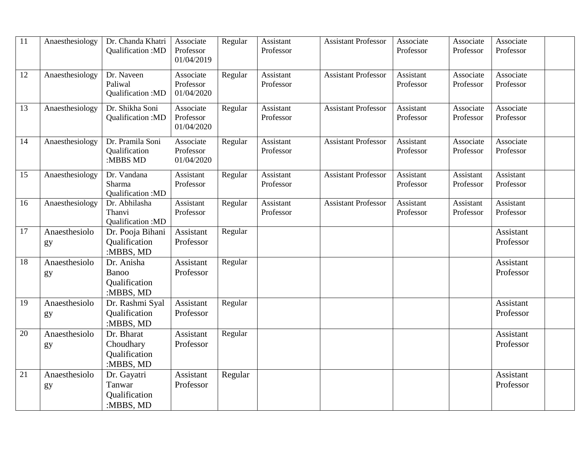| 11 | Anaesthesiology     | Dr. Chanda Khatri<br>Qualification:MD                 | Associate<br>Professor<br>01/04/2019 | Regular | Assistant<br>Professor | <b>Assistant Professor</b> | Associate<br>Professor | Associate<br>Professor | Associate<br>Professor        |  |
|----|---------------------|-------------------------------------------------------|--------------------------------------|---------|------------------------|----------------------------|------------------------|------------------------|-------------------------------|--|
| 12 | Anaesthesiology     | Dr. Naveen<br>Paliwal<br>Qualification:MD             | Associate<br>Professor<br>01/04/2020 | Regular | Assistant<br>Professor | <b>Assistant Professor</b> | Assistant<br>Professor | Associate<br>Professor | Associate<br>Professor        |  |
| 13 | Anaesthesiology     | Dr. Shikha Soni<br>Qualification: MD                  | Associate<br>Professor<br>01/04/2020 | Regular | Assistant<br>Professor | <b>Assistant Professor</b> | Assistant<br>Professor | Associate<br>Professor | Associate<br>Professor        |  |
| 14 | Anaesthesiology     | Dr. Pramila Soni<br>Qualification<br>:MBBS MD         | Associate<br>Professor<br>01/04/2020 | Regular | Assistant<br>Professor | <b>Assistant Professor</b> | Assistant<br>Professor | Associate<br>Professor | Associate<br>Professor        |  |
| 15 | Anaesthesiology     | Dr. Vandana<br>Sharma<br>Qualification:MD             | Assistant<br>Professor               | Regular | Assistant<br>Professor | <b>Assistant Professor</b> | Assistant<br>Professor | Assistant<br>Professor | <b>Assistant</b><br>Professor |  |
| 16 | Anaesthesiology     | Dr. Abhilasha<br>Thanvi<br>Qualification:MD           | Assistant<br>Professor               | Regular | Assistant<br>Professor | <b>Assistant Professor</b> | Assistant<br>Professor | Assistant<br>Professor | Assistant<br>Professor        |  |
| 17 | Anaesthesiolo<br>gy | Dr. Pooja Bihani<br>Qualification<br>:MBBS, MD        | Assistant<br>Professor               | Regular |                        |                            |                        |                        | Assistant<br>Professor        |  |
| 18 | Anaesthesiolo<br>gy | Dr. Anisha<br>Banoo<br>Qualification<br>:MBBS, MD     | Assistant<br>Professor               | Regular |                        |                            |                        |                        | Assistant<br>Professor        |  |
| 19 | Anaesthesiolo<br>gy | Dr. Rashmi Syal<br>Qualification<br>:MBBS, MD         | Assistant<br>Professor               | Regular |                        |                            |                        |                        | Assistant<br>Professor        |  |
| 20 | Anaesthesiolo<br>gy | Dr. Bharat<br>Choudhary<br>Qualification<br>:MBBS, MD | Assistant<br>Professor               | Regular |                        |                            |                        |                        | Assistant<br>Professor        |  |
| 21 | Anaesthesiolo<br>gy | Dr. Gayatri<br>Tanwar<br>Qualification<br>:MBBS, MD   | Assistant<br>Professor               | Regular |                        |                            |                        |                        | Assistant<br>Professor        |  |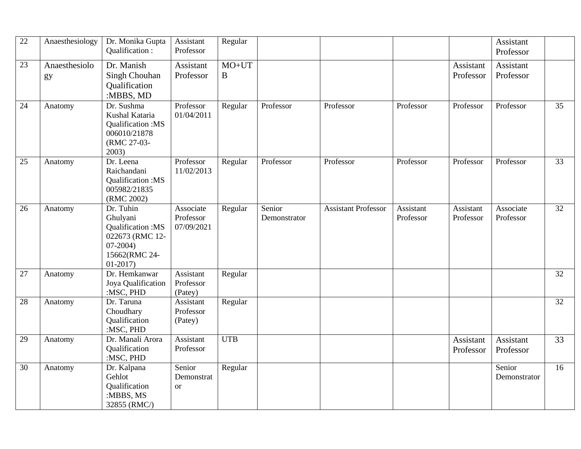| $\overline{22}$ | Anaesthesiology     | Dr. Monika Gupta<br>Qualification:                                                                      | Assistant<br>Professor               | Regular             |                        |                            |                        |                        | Assistant<br>Professor |                 |
|-----------------|---------------------|---------------------------------------------------------------------------------------------------------|--------------------------------------|---------------------|------------------------|----------------------------|------------------------|------------------------|------------------------|-----------------|
| 23              | Anaesthesiolo<br>gy | Dr. Manish<br>Singh Chouhan<br>Qualification                                                            | Assistant<br>Professor               | $MO+UT$<br>$\bf{B}$ |                        |                            |                        | Assistant<br>Professor | Assistant<br>Professor |                 |
| 24              | Anatomy             | :MBBS, MD<br>Dr. Sushma<br>Kushal Kataria<br>Qualification:MS<br>006010/21878<br>(RMC 27-03-<br>2003)   | Professor<br>01/04/2011              | Regular             | Professor              | Professor                  | Professor              | Professor              | Professor              | 35              |
| 25              | Anatomy             | Dr. Leena<br>Raichandani<br>Qualification:MS<br>005982/21835<br>(RMC 2002)                              | Professor<br>11/02/2013              | Regular             | Professor              | Professor                  | Professor              | Professor              | Professor              | 33              |
| 26              | Anatomy             | Dr. Tuhin<br>Ghulyani<br>Qualification:MS<br>022673 (RMC 12-<br>$07-2004$<br>15662(RMC 24-<br>$01-2017$ | Associate<br>Professor<br>07/09/2021 | Regular             | Senior<br>Demonstrator | <b>Assistant Professor</b> | Assistant<br>Professor | Assistant<br>Professor | Associate<br>Professor | $\overline{32}$ |
| 27              | Anatomy             | Dr. Hemkanwar<br>Joya Qualification<br>:MSC, PHD                                                        | Assistant<br>Professor<br>(Patey)    | Regular             |                        |                            |                        |                        |                        | 32              |
| 28              | Anatomy             | Dr. Taruna<br>Choudhary<br>Qualification<br>:MSC, PHD                                                   | Assistant<br>Professor<br>(Patey)    | Regular             |                        |                            |                        |                        |                        | 32              |
| 29              | Anatomy             | Dr. Manali Arora<br>Qualification<br>:MSC, PHD                                                          | Assistant<br>Professor               | <b>UTB</b>          |                        |                            |                        | Assistant<br>Professor | Assistant<br>Professor | 33              |
| 30              | Anatomy             | Dr. Kalpana<br>Gehlot<br>Qualification<br>:MBBS, MS<br>32855 (RMC/)                                     | Senior<br>Demonstrat<br><b>or</b>    | Regular             |                        |                            |                        |                        | Senior<br>Demonstrator | 16              |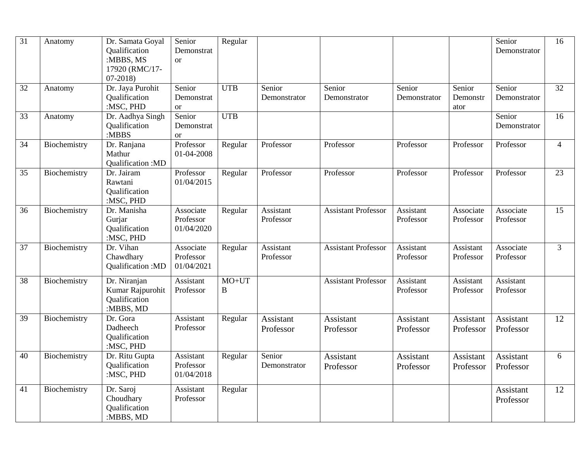| $\overline{31}$ | Anatomy      | Dr. Samata Goyal<br>Qualification<br>:MBBS, MS<br>17920 (RMC/17-<br>$07-2018$ | Senior<br>Demonstrat<br><b>or</b>     | Regular      |                        |                            |                        |                            | Senior<br>Demonstrator | 16             |
|-----------------|--------------|-------------------------------------------------------------------------------|---------------------------------------|--------------|------------------------|----------------------------|------------------------|----------------------------|------------------------|----------------|
| 32              | Anatomy      | Dr. Jaya Purohit<br>Qualification<br>:MSC, PHD                                | Senior<br>Demonstrat<br><b>or</b>     | <b>UTB</b>   | Senior<br>Demonstrator | Senior<br>Demonstrator     | Senior<br>Demonstrator | Senior<br>Demonstr<br>ator | Senior<br>Demonstrator | 32             |
| 33              | Anatomy      | Dr. Aadhya Singh<br>Qualification<br>:MBBS                                    | Senior<br>Demonstrat<br><sub>or</sub> | <b>UTB</b>   |                        |                            |                        |                            | Senior<br>Demonstrator | 16             |
| 34              | Biochemistry | Dr. Ranjana<br>Mathur<br>Qualification: MD                                    | Professor<br>01-04-2008               | Regular      | Professor              | Professor                  | Professor              | Professor                  | Professor              | $\overline{4}$ |
| 35              | Biochemistry | Dr. Jairam<br>Rawtani<br><b>Qualification</b><br>:MSC, PHD                    | Professor<br>01/04/2015               | Regular      | Professor              | Professor                  | Professor              | Professor                  | Professor              | 23             |
| 36              | Biochemistry | Dr. Manisha<br>Gurjar<br>Qualification<br>:MSC, PHD                           | Associate<br>Professor<br>01/04/2020  | Regular      | Assistant<br>Professor | <b>Assistant Professor</b> | Assistant<br>Professor | Associate<br>Professor     | Associate<br>Professor | 15             |
| 37              | Biochemistry | Dr. Vihan<br>Chawdhary<br>Qualification: MD                                   | Associate<br>Professor<br>01/04/2021  | Regular      | Assistant<br>Professor | <b>Assistant Professor</b> | Assistant<br>Professor | Assistant<br>Professor     | Associate<br>Professor | 3              |
| 38              | Biochemistry | Dr. Niranjan<br>Kumar Rajpurohit<br>Qualification<br>:MBBS, MD                | Assistant<br>Professor                | $MO+UT$<br>B |                        | <b>Assistant Professor</b> | Assistant<br>Professor | Assistant<br>Professor     | Assistant<br>Professor |                |
| 39              | Biochemistry | Dr. Gora<br>Dadheech<br>Qualification<br>:MSC, PHD                            | Assistant<br>Professor                | Regular      | Assistant<br>Professor | Assistant<br>Professor     | Assistant<br>Professor | Assistant<br>Professor     | Assistant<br>Professor | 12             |
| 40              | Biochemistry | Dr. Ritu Gupta<br>Qualification<br>:MSC, PHD                                  | Assistant<br>Professor<br>01/04/2018  | Regular      | Senior<br>Demonstrator | Assistant<br>Professor     | Assistant<br>Professor | Assistant<br>Professor     | Assistant<br>Professor | 6              |
| 41              | Biochemistry | Dr. Saroj<br>Choudhary<br>Qualification<br>:MBBS, MD                          | Assistant<br>Professor                | Regular      |                        |                            |                        |                            | Assistant<br>Professor | 12             |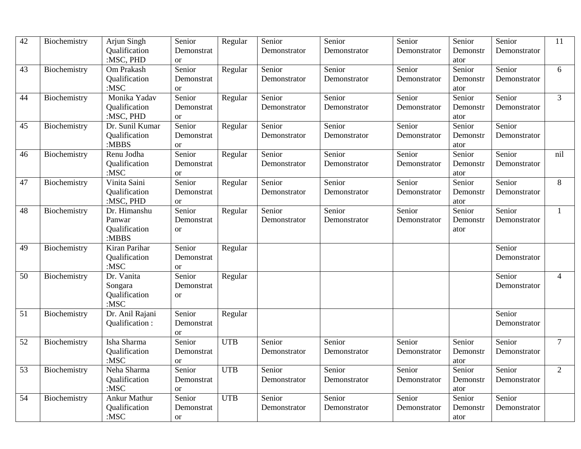| 42 | Biochemistry | Arjun Singh                | Senior                      | Regular    | Senior       | Senior       | Senior       | Senior           | Senior       | 11              |
|----|--------------|----------------------------|-----------------------------|------------|--------------|--------------|--------------|------------------|--------------|-----------------|
|    |              | Qualification<br>:MSC, PHD | Demonstrat<br><sub>or</sub> |            | Demonstrator | Demonstrator | Demonstrator | Demonstr<br>ator | Demonstrator |                 |
| 43 | Biochemistry | Om Prakash                 | Senior                      | Regular    | Senior       | Senior       | Senior       | Senior           | Senior       | 6               |
|    |              | Qualification              | Demonstrat                  |            | Demonstrator | Demonstrator | Demonstrator | Demonstr         | Demonstrator |                 |
|    |              | $:$ MSC                    | or                          |            |              |              |              | ator             |              |                 |
| 44 | Biochemistry | Monika Yadav               | Senior                      | Regular    | Senior       | Senior       | Senior       | Senior           | Senior       | $\overline{3}$  |
|    |              | Qualification              | Demonstrat                  |            | Demonstrator | Demonstrator | Demonstrator | Demonstr         | Demonstrator |                 |
|    |              | :MSC, PHD                  | <sub>or</sub>               |            |              |              |              | ator             |              |                 |
| 45 | Biochemistry | Dr. Sunil Kumar            | Senior                      | Regular    | Senior       | Senior       | Senior       | Senior           | Senior       |                 |
|    |              | Qualification              | Demonstrat                  |            | Demonstrator | Demonstrator | Demonstrator | Demonstr         | Demonstrator |                 |
|    |              | : $MBBS$                   | <b>or</b>                   |            |              |              |              | ator             |              |                 |
| 46 | Biochemistry | Renu Jodha                 | Senior                      | Regular    | Senior       | Senior       | Senior       | Senior           | Senior       | nil             |
|    |              | Qualification              | Demonstrat                  |            | Demonstrator | Demonstrator | Demonstrator | Demonstr         | Demonstrator |                 |
|    |              | $:$ MSC                    | <sub>or</sub>               |            |              |              |              | ator             |              |                 |
| 47 | Biochemistry | Vinita Saini               | Senior                      | Regular    | Senior       | Senior       | Senior       | Senior           | Senior       | 8               |
|    |              | Qualification              | Demonstrat                  |            | Demonstrator | Demonstrator | Demonstrator | Demonstr         | Demonstrator |                 |
|    |              | :MSC, PHD                  | <b>or</b>                   |            |              |              |              | ator             |              |                 |
| 48 | Biochemistry | Dr. Himanshu               | Senior                      | Regular    | Senior       | Senior       | Senior       | Senior           | Senior       | $\mathbf{1}$    |
|    |              | Panwar                     | Demonstrat                  |            | Demonstrator | Demonstrator | Demonstrator | Demonstr         | Demonstrator |                 |
|    |              | Qualification              | <sub>or</sub>               |            |              |              |              | ator             |              |                 |
|    |              | :MBBS                      |                             |            |              |              |              |                  |              |                 |
| 49 | Biochemistry | Kiran Parihar              | Senior                      | Regular    |              |              |              |                  | Senior       |                 |
|    |              | Oualification              | Demonstrat                  |            |              |              |              |                  | Demonstrator |                 |
|    |              | $:$ MSC                    | <sub>or</sub>               |            |              |              |              |                  |              |                 |
| 50 | Biochemistry | Dr. Vanita                 | Senior                      | Regular    |              |              |              |                  | Senior       | $\overline{4}$  |
|    |              | Songara                    | Demonstrat                  |            |              |              |              |                  | Demonstrator |                 |
|    |              | Qualification              | <sub>or</sub>               |            |              |              |              |                  |              |                 |
|    |              | $:$ MSC                    |                             |            |              |              |              |                  |              |                 |
| 51 | Biochemistry | Dr. Anil Rajani            | Senior                      | Regular    |              |              |              |                  | Senior       |                 |
|    |              | Qualification:             | Demonstrat                  |            |              |              |              |                  | Demonstrator |                 |
|    |              |                            | <b>or</b>                   |            |              |              |              |                  |              |                 |
| 52 | Biochemistry | Isha Sharma                | Senior                      | <b>UTB</b> | Senior       | Senior       | Senior       | Senior           | Senior       | $7\overline{ }$ |
|    |              | Qualification              | Demonstrat                  |            | Demonstrator | Demonstrator | Demonstrator | Demonstr         | Demonstrator |                 |
|    |              | $:$ MSC                    | or                          |            |              |              |              | ator             |              |                 |
| 53 | Biochemistry | Neha Sharma                | Senior                      | <b>UTB</b> | Senior       | Senior       | Senior       | Senior           | Senior       | $\overline{2}$  |
|    |              | Qualification              | Demonstrat                  |            | Demonstrator | Demonstrator | Demonstrator | Demonstr         | Demonstrator |                 |
|    |              | $:$ MSC                    | <sub>or</sub>               |            |              |              |              | ator             |              |                 |
| 54 | Biochemistry | <b>Ankur Mathur</b>        | Senior                      | <b>UTB</b> | Senior       | Senior       | Senior       | Senior           | Senior       |                 |
|    |              | Qualification              | Demonstrat                  |            | Demonstrator | Demonstrator | Demonstrator | Demonstr         | Demonstrator |                 |
|    |              | : $MSC$                    | <b>or</b>                   |            |              |              |              | ator             |              |                 |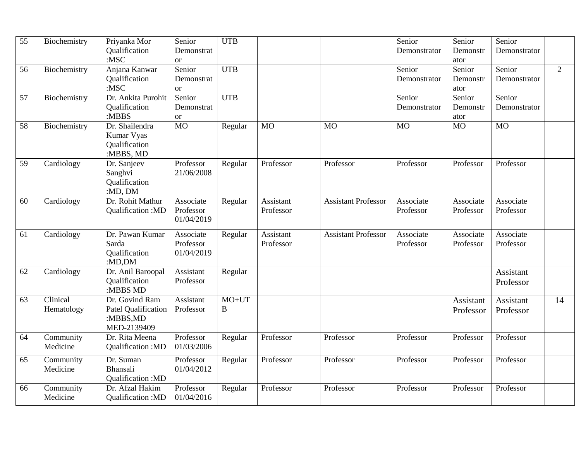| 55 | Biochemistry | Priyanka Mor        | Senior          | <b>UTB</b> |           |                            | Senior       | Senior    | Senior           |                |
|----|--------------|---------------------|-----------------|------------|-----------|----------------------------|--------------|-----------|------------------|----------------|
|    |              | Qualification       | Demonstrat      |            |           |                            | Demonstrator | Demonstr  | Demonstrator     |                |
|    |              | : $MSC$             | or              |            |           |                            |              | ator      |                  |                |
| 56 | Biochemistry | Anjana Kanwar       | Senior          | <b>UTB</b> |           |                            | Senior       | Senior    | Senior           | $\overline{2}$ |
|    |              | Qualification       | Demonstrat      |            |           |                            | Demonstrator | Demonstr  | Demonstrator     |                |
|    |              | $:$ MSC             | <b>or</b>       |            |           |                            |              | ator      |                  |                |
| 57 | Biochemistry | Dr. Ankita Purohit  | Senior          | <b>UTB</b> |           |                            | Senior       | Senior    | Senior           |                |
|    |              | Qualification       | Demonstrat      |            |           |                            | Demonstrator | Demonstr  | Demonstrator     |                |
|    |              | :MBBS               | <b>or</b>       |            |           |                            |              | ator      |                  |                |
| 58 | Biochemistry | Dr. Shailendra      | $\overline{MO}$ | Regular    | <b>MO</b> | <b>MO</b>                  | <b>MO</b>    | <b>MO</b> | <b>MO</b>        |                |
|    |              | Kumar Vyas          |                 |            |           |                            |              |           |                  |                |
|    |              | Qualification       |                 |            |           |                            |              |           |                  |                |
|    |              | :MBBS, MD           |                 |            |           |                            |              |           |                  |                |
| 59 | Cardiology   | Dr. Sanjeev         | Professor       | Regular    | Professor | Professor                  | Professor    | Professor | Professor        |                |
|    |              | Sanghvi             | 21/06/2008      |            |           |                            |              |           |                  |                |
|    |              | Qualification       |                 |            |           |                            |              |           |                  |                |
|    |              | :MD, DM             |                 |            |           |                            |              |           |                  |                |
| 60 | Cardiology   | Dr. Rohit Mathur    | Associate       | Regular    | Assistant | <b>Assistant Professor</b> | Associate    | Associate | Associate        |                |
|    |              | Qualification: MD   | Professor       |            | Professor |                            | Professor    | Professor | Professor        |                |
|    |              |                     | 01/04/2019      |            |           |                            |              |           |                  |                |
| 61 | Cardiology   | Dr. Pawan Kumar     | Associate       | Regular    | Assistant | <b>Assistant Professor</b> | Associate    | Associate | Associate        |                |
|    |              | Sarda               | Professor       |            | Professor |                            | Professor    | Professor | Professor        |                |
|    |              | Qualification       | 01/04/2019      |            |           |                            |              |           |                  |                |
|    |              | : $MD, DM$          |                 |            |           |                            |              |           |                  |                |
| 62 | Cardiology   | Dr. Anil Baroopal   | Assistant       | Regular    |           |                            |              |           | <b>Assistant</b> |                |
|    |              | Qualification       | Professor       |            |           |                            |              |           |                  |                |
|    |              | :MBBS MD            |                 |            |           |                            |              |           | Professor        |                |
| 63 | Clinical     | Dr. Govind Ram      | Assistant       | $MO+UT$    |           |                            |              | Assistant | Assistant        | 14             |
|    | Hematology   | Patel Qualification | Professor       | B          |           |                            |              | Professor | Professor        |                |
|    |              | :MBBS,MD            |                 |            |           |                            |              |           |                  |                |
|    |              | MED-2139409         |                 |            |           |                            |              |           |                  |                |
| 64 | Community    | Dr. Rita Meena      | Professor       | Regular    | Professor | Professor                  | Professor    | Professor | Professor        |                |
|    | Medicine     | Qualification:MD    | 01/03/2006      |            |           |                            |              |           |                  |                |
|    |              |                     |                 |            |           |                            |              |           |                  |                |
| 65 | Community    | Dr. Suman           | Professor       | Regular    | Professor | Professor                  | Professor    | Professor | Professor        |                |
|    | Medicine     | Bhansali            | 01/04/2012      |            |           |                            |              |           |                  |                |
|    |              | Qualification: MD   |                 |            |           |                            |              |           |                  |                |
| 66 | Community    | Dr. Afzal Hakim     | Professor       | Regular    | Professor | Professor                  | Professor    | Professor | Professor        |                |
|    | Medicine     | Qualification: MD   | 01/04/2016      |            |           |                            |              |           |                  |                |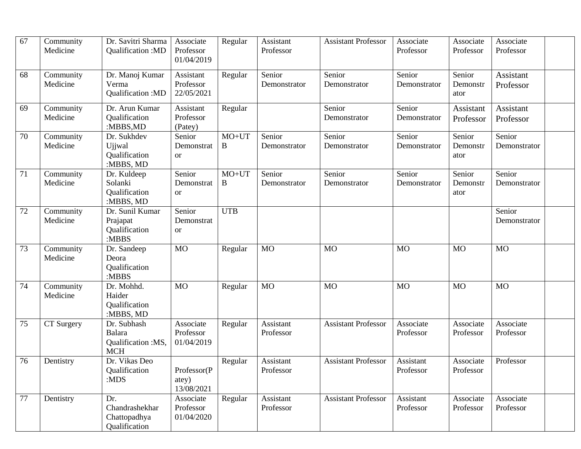| 67 | Community<br>Medicine | Dr. Savitri Sharma<br>Qualification: MD                   | Associate<br>Professor<br>01/04/2019  | Regular      | Assistant<br>Professor | <b>Assistant Professor</b> | Associate<br>Professor | Associate<br>Professor     | Associate<br>Professor |  |
|----|-----------------------|-----------------------------------------------------------|---------------------------------------|--------------|------------------------|----------------------------|------------------------|----------------------------|------------------------|--|
| 68 | Community<br>Medicine | Dr. Manoj Kumar<br>Verma<br>Qualification:MD              | Assistant<br>Professor<br>22/05/2021  | Regular      | Senior<br>Demonstrator | Senior<br>Demonstrator     | Senior<br>Demonstrator | Senior<br>Demonstr<br>ator | Assistant<br>Professor |  |
| 69 | Community<br>Medicine | Dr. Arun Kumar<br>Qualification<br>:MBBS,MD               | Assistant<br>Professor<br>(Patey)     | Regular      |                        | Senior<br>Demonstrator     | Senior<br>Demonstrator | Assistant<br>Professor     | Assistant<br>Professor |  |
| 70 | Community<br>Medicine | Dr. Sukhdev<br>Ujjwal<br>Qualification<br>:MBBS, MD       | Senior<br>Demonstrat<br><b>or</b>     | $MO+UT$<br>B | Senior<br>Demonstrator | Senior<br>Demonstrator     | Senior<br>Demonstrator | Senior<br>Demonstr<br>ator | Senior<br>Demonstrator |  |
| 71 | Community<br>Medicine | Dr. Kuldeep<br>Solanki<br>Qualification<br>:MBBS, MD      | Senior<br>Demonstrat<br><b>or</b>     | $MO+UT$<br>B | Senior<br>Demonstrator | Senior<br>Demonstrator     | Senior<br>Demonstrator | Senior<br>Demonstr<br>ator | Senior<br>Demonstrator |  |
| 72 | Community<br>Medicine | Dr. Sunil Kumar<br>Prajapat<br>Qualification<br>:MBBS     | Senior<br>Demonstrat<br><sub>or</sub> | <b>UTB</b>   |                        |                            |                        |                            | Senior<br>Demonstrator |  |
| 73 | Community<br>Medicine | Dr. Sandeep<br>Deora<br>Qualification<br>:MBBS            | <b>MO</b>                             | Regular      | <b>MO</b>              | <b>MO</b>                  | <b>MO</b>              | <b>MO</b>                  | <b>MO</b>              |  |
| 74 | Community<br>Medicine | Dr. Mohhd.<br>Haider<br>Qualification<br>:MBBS, MD        | <b>MO</b>                             | Regular      | <b>MO</b>              | <b>MO</b>                  | <b>MO</b>              | <b>MO</b>                  | <b>MO</b>              |  |
| 75 | CT Surgery            | Dr. Subhash<br>Balara<br>Qualification :MS,<br><b>MCH</b> | Associate<br>Professor<br>01/04/2019  | Regular      | Assistant<br>Professor | <b>Assistant Professor</b> | Associate<br>Professor | Associate<br>Professor     | Associate<br>Professor |  |
| 76 | Dentistry             | Dr. Vikas Deo<br>Qualification<br>:MDS                    | Professor(P<br>atey)<br>13/08/2021    | Regular      | Assistant<br>Professor | <b>Assistant Professor</b> | Assistant<br>Professor | Associate<br>Professor     | Professor              |  |
| 77 | Dentistry             | Dr.<br>Chandrashekhar<br>Chattopadhya<br>Qualification    | Associate<br>Professor<br>01/04/2020  | Regular      | Assistant<br>Professor | <b>Assistant Professor</b> | Assistant<br>Professor | Associate<br>Professor     | Associate<br>Professor |  |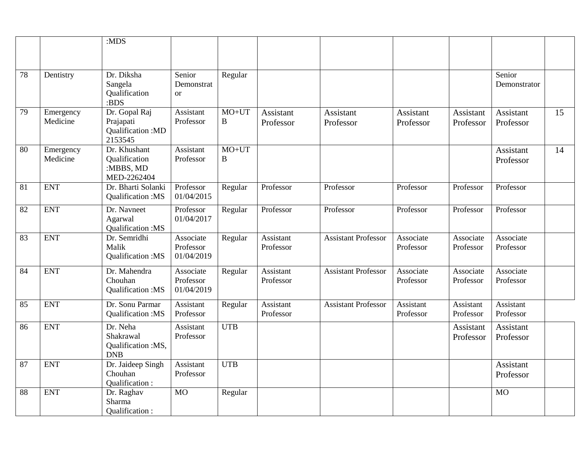|    |                       | :MDS                                                      |                                      |                     |                        |                            |                               |                               |                        |    |
|----|-----------------------|-----------------------------------------------------------|--------------------------------------|---------------------|------------------------|----------------------------|-------------------------------|-------------------------------|------------------------|----|
|    |                       |                                                           |                                      |                     |                        |                            |                               |                               |                        |    |
|    |                       |                                                           |                                      |                     |                        |                            |                               |                               |                        |    |
| 78 | Dentistry             | Dr. Diksha<br>Sangela<br>Qualification<br>:BDS            | Senior<br>Demonstrat<br>$\alpha$     | Regular             |                        |                            |                               |                               | Senior<br>Demonstrator |    |
| 79 | Emergency             | Dr. Gopal Raj                                             | Assistant                            | $MO+UT$             | Assistant              | Assistant                  | Assistant                     | Assistant                     | Assistant              | 15 |
|    | Medicine              | Prajapati<br>Qualification : MD<br>2153545                | Professor                            | $\bf{B}$            | Professor              | Professor                  | Professor                     | Professor                     | Professor              |    |
| 80 | Emergency<br>Medicine | Dr. Khushant<br>Qualification<br>:MBBS, MD<br>MED-2262404 | Assistant<br>Professor               | $MO+UT$<br>$\bf{B}$ |                        |                            |                               |                               | Assistant<br>Professor | 14 |
| 81 | <b>ENT</b>            | Dr. Bharti Solanki<br>Qualification:MS                    | Professor<br>01/04/2015              | Regular             | Professor              | Professor                  | Professor                     | Professor                     | Professor              |    |
| 82 | <b>ENT</b>            | Dr. Navneet<br>Agarwal<br>Qualification:MS                | Professor<br>01/04/2017              | Regular             | Professor              | Professor                  | Professor                     | Professor                     | Professor              |    |
| 83 | <b>ENT</b>            | Dr. Semridhi<br>Malik<br>Qualification:MS                 | Associate<br>Professor<br>01/04/2019 | Regular             | Assistant<br>Professor | <b>Assistant Professor</b> | Associate<br>Professor        | Associate<br>Professor        | Associate<br>Professor |    |
| 84 | <b>ENT</b>            | Dr. Mahendra<br>Chouhan<br>Qualification:MS               | Associate<br>Professor<br>01/04/2019 | Regular             | Assistant<br>Professor | <b>Assistant Professor</b> | Associate<br>Professor        | Associate<br>Professor        | Associate<br>Professor |    |
| 85 | <b>ENT</b>            | Dr. Sonu Parmar<br>Qualification:MS                       | Assistant<br>Professor               | Regular             | Assistant<br>Professor | <b>Assistant Professor</b> | <b>Assistant</b><br>Professor | <b>Assistant</b><br>Professor | Assistant<br>Professor |    |
| 86 | <b>ENT</b>            | Dr. Neha<br>Shakrawal<br>Qualification :MS,<br><b>DNB</b> | Assistant<br>Professor               | <b>UTB</b>          |                        |                            |                               | Assistant<br>Professor        | Assistant<br>Professor |    |
| 87 | <b>ENT</b>            | Dr. Jaideep Singh<br>Chouhan<br>Qualification:            | Assistant<br>Professor               | <b>UTB</b>          |                        |                            |                               |                               | Assistant<br>Professor |    |
| 88 | <b>ENT</b>            | Dr. Raghav<br>Sharma<br>Qualification:                    | <b>MO</b>                            | Regular             |                        |                            |                               |                               | <b>MO</b>              |    |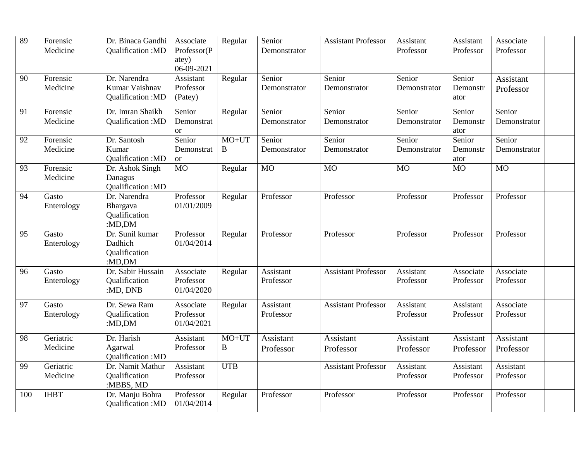| 89  | Forensic<br>Medicine  | Dr. Binaca Gandhi<br>Qualification: MD                    | Associate<br>Professor(P<br>atey)<br>06-09-2021 | Regular                 | Senior<br>Demonstrator | <b>Assistant Professor</b>    | Assistant<br>Professor | Assistant<br>Professor     | Associate<br>Professor        |  |
|-----|-----------------------|-----------------------------------------------------------|-------------------------------------------------|-------------------------|------------------------|-------------------------------|------------------------|----------------------------|-------------------------------|--|
| 90  | Forensic<br>Medicine  | Dr. Narendra<br>Kumar Vaishnav<br>Qualification:MD        | Assistant<br>Professor<br>(Patey)               | Regular                 | Senior<br>Demonstrator | Senior<br>Demonstrator        | Senior<br>Demonstrator | Senior<br>Demonstr<br>ator | <b>Assistant</b><br>Professor |  |
| 91  | Forensic<br>Medicine  | Dr. Imran Shaikh<br>Qualification:MD                      | Senior<br>Demonstrat<br><b>or</b>               | Regular                 | Senior<br>Demonstrator | Senior<br>Demonstrator        | Senior<br>Demonstrator | Senior<br>Demonstr<br>ator | Senior<br>Demonstrator        |  |
| 92  | Forensic<br>Medicine  | Dr. Santosh<br>Kumar<br>Qualification: MD                 | Senior<br>Demonstrat<br><b>or</b>               | $MO+UT$<br>$\, {\bf B}$ | Senior<br>Demonstrator | Senior<br>Demonstrator        | Senior<br>Demonstrator | Senior<br>Demonstr<br>ator | Senior<br>Demonstrator        |  |
| 93  | Forensic<br>Medicine  | Dr. Ashok Singh<br>Danagus<br>Qualification: MD           | $\overline{MO}$                                 | Regular                 | <b>MO</b>              | M <sub>O</sub>                | <b>MO</b>              | $\overline{MO}$            | $\overline{MO}$               |  |
| 94  | Gasto<br>Enterology   | Dr. Narendra<br>Bhargava<br>Qualification<br>:MD,DM       | Professor<br>01/01/2009                         | Regular                 | Professor              | Professor                     | Professor              | Professor                  | Professor                     |  |
| 95  | Gasto<br>Enterology   | Dr. Sunil kumar<br>Dadhich<br>Qualification<br>: $MD, DM$ | Professor<br>01/04/2014                         | Regular                 | Professor              | Professor                     | Professor              | Professor                  | Professor                     |  |
| 96  | Gasto<br>Enterology   | Dr. Sabir Hussain<br>Qualification<br>:MD, DNB            | Associate<br>Professor<br>01/04/2020            | Regular                 | Assistant<br>Professor | <b>Assistant Professor</b>    | Assistant<br>Professor | Associate<br>Professor     | Associate<br>Professor        |  |
| 97  | Gasto<br>Enterology   | Dr. Sewa Ram<br>Qualification<br>: $MD, DM$               | Associate<br>Professor<br>01/04/2021            | Regular                 | Assistant<br>Professor | <b>Assistant Professor</b>    | Assistant<br>Professor | Assistant<br>Professor     | Associate<br>Professor        |  |
| 98  | Geriatric<br>Medicine | Dr. Harish<br>Agarwal<br>Qualification: MD                | Assistant<br>Professor                          | $MO+UT$<br>B            | Assistant<br>Professor | <b>Assistant</b><br>Professor | Assistant<br>Professor | Assistant<br>Professor     | <b>Assistant</b><br>Professor |  |
| 99  | Geriatric<br>Medicine | Dr. Namit Mathur<br>Qualification<br>:MBBS, MD            | Assistant<br>Professor                          | <b>UTB</b>              |                        | <b>Assistant Professor</b>    | Assistant<br>Professor | Assistant<br>Professor     | <b>Assistant</b><br>Professor |  |
| 100 | <b>IHBT</b>           | Dr. Manju Bohra<br>Qualification:MD                       | Professor<br>01/04/2014                         | Regular                 | Professor              | Professor                     | Professor              | Professor                  | Professor                     |  |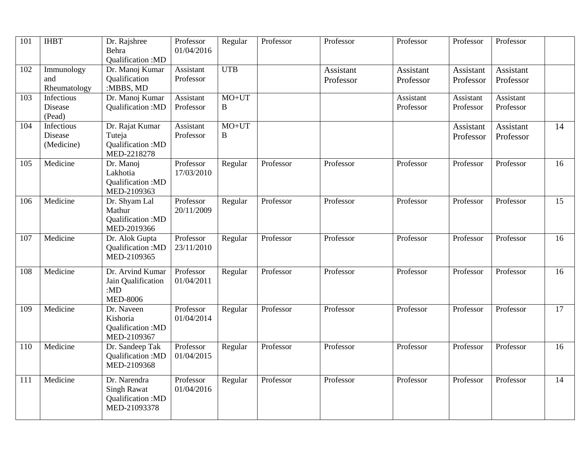| 101 | <b>IHBT</b>                         | Dr. Rajshree<br>Behra<br>Qualification:MD                              | Professor<br>01/04/2016 | Regular           | Professor | Professor              | Professor              | Professor              | Professor              |    |
|-----|-------------------------------------|------------------------------------------------------------------------|-------------------------|-------------------|-----------|------------------------|------------------------|------------------------|------------------------|----|
| 102 | Immunology<br>and<br>Rheumatology   | Dr. Manoj Kumar<br>Qualification<br>:MBBS, MD                          | Assistant<br>Professor  | <b>UTB</b>        |           | Assistant<br>Professor | Assistant<br>Professor | Assistant<br>Professor | Assistant<br>Professor |    |
| 103 | Infectious<br>Disease<br>(Pead)     | Dr. Manoj Kumar<br>Qualification:MD                                    | Assistant<br>Professor  | MO+UT<br>B        |           |                        | Assistant<br>Professor | Assistant<br>Professor | Assistant<br>Professor |    |
| 104 | Infectious<br>Disease<br>(Medicine) | Dr. Rajat Kumar<br>Tuteja<br>Qualification: MD<br>MED-2218278          | Assistant<br>Professor  | MO+UT<br>$\bf{B}$ |           |                        |                        | Assistant<br>Professor | Assistant<br>Professor | 14 |
| 105 | Medicine                            | Dr. Manoj<br>Lakhotia<br>Qualification: MD<br>MED-2109363              | Professor<br>17/03/2010 | Regular           | Professor | Professor              | Professor              | Professor              | Professor              | 16 |
| 106 | Medicine                            | Dr. Shyam Lal<br>Mathur<br>Qualification: MD<br>MED-2019366            | Professor<br>20/11/2009 | Regular           | Professor | Professor              | Professor              | Professor              | Professor              | 15 |
| 107 | Medicine                            | Dr. Alok Gupta<br><b>Oualification:MD</b><br>MED-2109365               | Professor<br>23/11/2010 | Regular           | Professor | Professor              | Professor              | Professor              | Professor              | 16 |
| 108 | Medicine                            | Dr. Arvind Kumar<br>Jain Qualification<br>:MD<br><b>MED-8006</b>       | Professor<br>01/04/2011 | Regular           | Professor | Professor              | Professor              | Professor              | Professor              | 16 |
| 109 | Medicine                            | Dr. Naveen<br>Kishoria<br>Qualification: MD<br>MED-2109367             | Professor<br>01/04/2014 | Regular           | Professor | Professor              | Professor              | Professor              | Professor              | 17 |
| 110 | Medicine                            | Dr. Sandeep Tak<br>Qualification:MD<br>MED-2109368                     | Professor<br>01/04/2015 | Regular           | Professor | Professor              | Professor              | Professor              | Professor              | 16 |
| 111 | Medicine                            | Dr. Narendra<br><b>Singh Rawat</b><br>Qualification:MD<br>MED-21093378 | Professor<br>01/04/2016 | Regular           | Professor | Professor              | Professor              | Professor              | Professor              | 14 |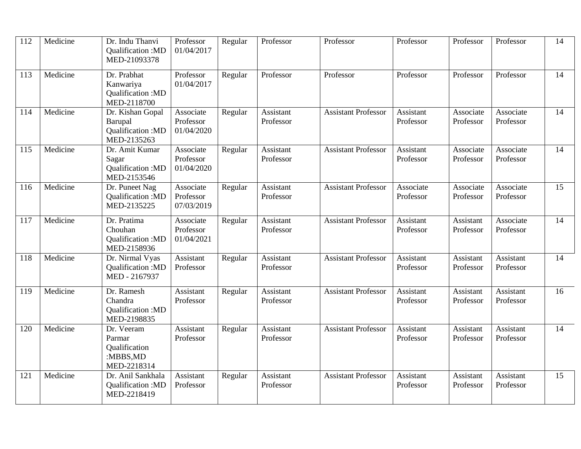| 112 | Medicine | Dr. Indu Thanvi<br>Qualification:MD<br>MED-21093378              | Professor<br>01/04/2017              | Regular | Professor              | Professor                  | Professor              | Professor              | Professor                     | 14 |
|-----|----------|------------------------------------------------------------------|--------------------------------------|---------|------------------------|----------------------------|------------------------|------------------------|-------------------------------|----|
| 113 | Medicine | Dr. Prabhat<br>Kanwariya<br>Qualification: MD<br>MED-2118700     | Professor<br>01/04/2017              | Regular | Professor              | Professor                  | Professor              | Professor              | Professor                     | 14 |
| 114 | Medicine | Dr. Kishan Gopal<br>Barupal<br>Qualification:MD<br>MED-2135263   | Associate<br>Professor<br>01/04/2020 | Regular | Assistant<br>Professor | <b>Assistant Professor</b> | Assistant<br>Professor | Associate<br>Professor | Associate<br>Professor        | 14 |
| 115 | Medicine | Dr. Amit Kumar<br>Sagar<br>Qualification:MD<br>MED-2153546       | Associate<br>Professor<br>01/04/2020 | Regular | Assistant<br>Professor | <b>Assistant Professor</b> | Assistant<br>Professor | Associate<br>Professor | Associate<br>Professor        | 14 |
| 116 | Medicine | Dr. Puneet Nag<br>Qualification: MD<br>MED-2135225               | Associate<br>Professor<br>07/03/2019 | Regular | Assistant<br>Professor | <b>Assistant Professor</b> | Associate<br>Professor | Associate<br>Professor | Associate<br>Professor        | 15 |
| 117 | Medicine | Dr. Pratima<br>Chouhan<br>Qualification:MD<br>MED-2158936        | Associate<br>Professor<br>01/04/2021 | Regular | Assistant<br>Professor | <b>Assistant Professor</b> | Assistant<br>Professor | Assistant<br>Professor | Associate<br>Professor        | 14 |
| 118 | Medicine | Dr. Nirmal Vyas<br>Qualification:MD<br>MED - 2167937             | Assistant<br>Professor               | Regular | Assistant<br>Professor | <b>Assistant Professor</b> | Assistant<br>Professor | Assistant<br>Professor | Assistant<br>Professor        | 14 |
| 119 | Medicine | Dr. Ramesh<br>Chandra<br>Qualification: MD<br>MED-2198835        | Assistant<br>Professor               | Regular | Assistant<br>Professor | <b>Assistant Professor</b> | Assistant<br>Professor | Assistant<br>Professor | Assistant<br>Professor        | 16 |
| 120 | Medicine | Dr. Veeram<br>Parmar<br>Qualification<br>:MBBS,MD<br>MED-2218314 | Assistant<br>Professor               | Regular | Assistant<br>Professor | <b>Assistant Professor</b> | Assistant<br>Professor | Assistant<br>Professor | <b>Assistant</b><br>Professor | 14 |
| 121 | Medicine | Dr. Anil Sankhala<br>Qualification: MD<br>MED-2218419            | Assistant<br>Professor               | Regular | Assistant<br>Professor | <b>Assistant Professor</b> | Assistant<br>Professor | Assistant<br>Professor | Assistant<br>Professor        | 15 |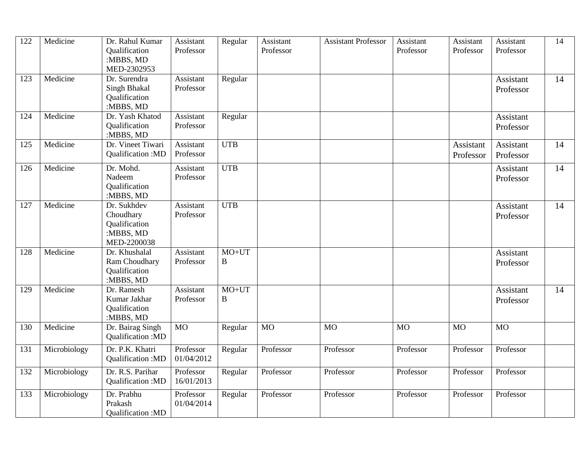| 122 | Medicine     | Dr. Rahul Kumar   | Assistant  | Regular      | Assistant      | <b>Assistant Professor</b> | Assistant | Assistant | Assistant | 14 |
|-----|--------------|-------------------|------------|--------------|----------------|----------------------------|-----------|-----------|-----------|----|
|     |              | Qualification     | Professor  |              | Professor      |                            | Professor | Professor | Professor |    |
|     |              | :MBBS, MD         |            |              |                |                            |           |           |           |    |
|     |              | MED-2302953       |            |              |                |                            |           |           |           |    |
| 123 | Medicine     | Dr. Surendra      | Assistant  | Regular      |                |                            |           |           | Assistant | 14 |
|     |              |                   |            |              |                |                            |           |           |           |    |
|     |              | Singh Bhakal      | Professor  |              |                |                            |           |           | Professor |    |
|     |              | Qualification     |            |              |                |                            |           |           |           |    |
|     |              | :MBBS, MD         |            |              |                |                            |           |           |           |    |
| 124 | Medicine     | Dr. Yash Khatod   | Assistant  | Regular      |                |                            |           |           | Assistant |    |
|     |              | Qualification     | Professor  |              |                |                            |           |           | Professor |    |
|     |              | :MBBS, MD         |            |              |                |                            |           |           |           |    |
| 125 | Medicine     | Dr. Vineet Tiwari | Assistant  | <b>UTB</b>   |                |                            |           | Assistant | Assistant | 14 |
|     |              | Qualification: MD | Professor  |              |                |                            |           |           |           |    |
|     |              |                   |            |              |                |                            |           | Professor | Professor |    |
| 126 | Medicine     | Dr. Mohd.         | Assistant  | <b>UTB</b>   |                |                            |           |           | Assistant | 14 |
|     |              | Nadeem            | Professor  |              |                |                            |           |           | Professor |    |
|     |              | Qualification     |            |              |                |                            |           |           |           |    |
|     |              | :MBBS, MD         |            |              |                |                            |           |           |           |    |
| 127 | Medicine     | Dr. Sukhdev       | Assistant  | <b>UTB</b>   |                |                            |           |           | Assistant | 14 |
|     |              | Choudhary         | Professor  |              |                |                            |           |           |           |    |
|     |              |                   |            |              |                |                            |           |           | Professor |    |
|     |              | Qualification     |            |              |                |                            |           |           |           |    |
|     |              | :MBBS, MD         |            |              |                |                            |           |           |           |    |
|     |              | MED-2200038       |            |              |                |                            |           |           |           |    |
| 128 | Medicine     | Dr. Khushalal     | Assistant  | $MO+UT$      |                |                            |           |           | Assistant |    |
|     |              | Ram Choudhary     | Professor  | B            |                |                            |           |           | Professor |    |
|     |              | Qualification     |            |              |                |                            |           |           |           |    |
|     |              | :MBBS, MD         |            |              |                |                            |           |           |           |    |
| 129 | Medicine     | Dr. Ramesh        | Assistant  | $MO+UT$      |                |                            |           |           | Assistant | 14 |
|     |              | Kumar Jakhar      | Professor  | $\, {\bf B}$ |                |                            |           |           |           |    |
|     |              |                   |            |              |                |                            |           |           | Professor |    |
|     |              | Qualification     |            |              |                |                            |           |           |           |    |
|     |              | :MBBS, MD         |            |              |                |                            |           |           |           |    |
| 130 | Medicine     | Dr. Bairag Singh  | <b>MO</b>  | Regular      | $\overline{M}$ | <b>MO</b>                  | <b>MO</b> | <b>MO</b> | <b>MO</b> |    |
|     |              | Qualification: MD |            |              |                |                            |           |           |           |    |
| 131 | Microbiology | Dr. P.K. Khatri   | Professor  | Regular      | Professor      | Professor                  | Professor | Professor | Professor |    |
|     |              | Qualification: MD | 01/04/2012 |              |                |                            |           |           |           |    |
|     |              |                   |            |              |                |                            |           |           |           |    |
| 132 | Microbiology | Dr. R.S. Parihar  | Professor  | Regular      | Professor      | Professor                  | Professor | Professor | Professor |    |
|     |              | Qualification:MD  | 16/01/2013 |              |                |                            |           |           |           |    |
|     |              |                   |            |              |                |                            |           |           |           |    |
| 133 | Microbiology | Dr. Prabhu        | Professor  | Regular      | Professor      | Professor                  | Professor | Professor | Professor |    |
|     |              | Prakash           | 01/04/2014 |              |                |                            |           |           |           |    |
|     |              | Qualification: MD |            |              |                |                            |           |           |           |    |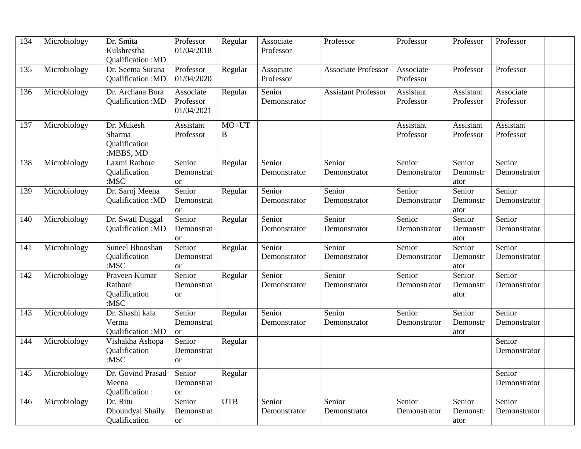| 134 | Microbiology | Dr. Smita<br>Kulshrestha<br>Qualification: MD               | Professor<br>01/04/2018               | Regular      | Associate<br>Professor | Professor                  | Professor              | Professor                  | Professor              |  |
|-----|--------------|-------------------------------------------------------------|---------------------------------------|--------------|------------------------|----------------------------|------------------------|----------------------------|------------------------|--|
| 135 | Microbiology | Dr. Seema Surana<br>Qualification: MD                       | Professor<br>01/04/2020               | Regular      | Associate<br>Professor | <b>Associate Professor</b> | Associate<br>Professor | Professor                  | Professor              |  |
| 136 | Microbiology | Dr. Archana Bora<br>Qualification: MD                       | Associate<br>Professor<br>01/04/2021  | Regular      | Senior<br>Demonstrator | <b>Assistant Professor</b> | Assistant<br>Professor | Assistant<br>Professor     | Associate<br>Professor |  |
| 137 | Microbiology | Dr. Mukesh<br>Sharma<br>Qualification<br>:MBBS, MD          | Assistant<br>Professor                | $MO+UT$<br>B |                        |                            | Assistant<br>Professor | Assistant<br>Professor     | Assistant<br>Professor |  |
| 138 | Microbiology | Laxmi Rathore<br>Qualification<br>$:$ MSC                   | Senior<br>Demonstrat<br><b>or</b>     | Regular      | Senior<br>Demonstrator | Senior<br>Demonstrator     | Senior<br>Demonstrator | Senior<br>Demonstr<br>ator | Senior<br>Demonstrator |  |
| 139 | Microbiology | Dr. Saroj Meena<br>Qualification:MD                         | Senior<br>Demonstrat<br><sub>or</sub> | Regular      | Senior<br>Demonstrator | Senior<br>Demonstrator     | Senior<br>Demonstrator | Senior<br>Demonstr<br>ator | Senior<br>Demonstrator |  |
| 140 | Microbiology | Dr. Swati Duggal<br>Qualification: MD                       | Senior<br>Demonstrat<br><sub>or</sub> | Regular      | Senior<br>Demonstrator | Senior<br>Demonstrator     | Senior<br>Demonstrator | Senior<br>Demonstr<br>ator | Senior<br>Demonstrator |  |
| 141 | Microbiology | <b>Suneel Bhooshan</b><br>Qualification<br>$:$ MSC          | Senior<br>Demonstrat<br><b>or</b>     | Regular      | Senior<br>Demonstrator | Senior<br>Demonstrator     | Senior<br>Demonstrator | Senior<br>Demonstr<br>ator | Senior<br>Demonstrator |  |
| 142 | Microbiology | Praveen Kumar<br>Rathore<br><b>Qualification</b><br>$:$ MSC | Senior<br>Demonstrat<br><b>or</b>     | Regular      | Senior<br>Demonstrator | Senior<br>Demonstrator     | Senior<br>Demonstrator | Senior<br>Demonstr<br>ator | Senior<br>Demonstrator |  |
| 143 | Microbiology | Dr. Shashi kala<br>Verma<br>Qualification: MD               | Senior<br>Demonstrat<br><b>or</b>     | Regular      | Senior<br>Demonstrator | Senior<br>Demonstrator     | Senior<br>Demonstrator | Senior<br>Demonstr<br>ator | Senior<br>Demonstrator |  |
| 144 | Microbiology | Vishakha Ashopa<br>Qualification<br>$:$ MSC                 | Senior<br>Demonstrat<br><b>or</b>     | Regular      |                        |                            |                        |                            | Senior<br>Demonstrator |  |
| 145 | Microbiology | Dr. Govind Prasad<br>Meena<br>Qualification:                | Senior<br>Demonstrat<br><b>or</b>     | Regular      |                        |                            |                        |                            | Senior<br>Demonstrator |  |
| 146 | Microbiology | Dr. Ritu<br>Dhoundyal Shaily<br>Qualification               | Senior<br>Demonstrat<br><b>or</b>     | <b>UTB</b>   | Senior<br>Demonstrator | Senior<br>Demonstrator     | Senior<br>Demonstrator | Senior<br>Demonstr<br>ator | Senior<br>Demonstrator |  |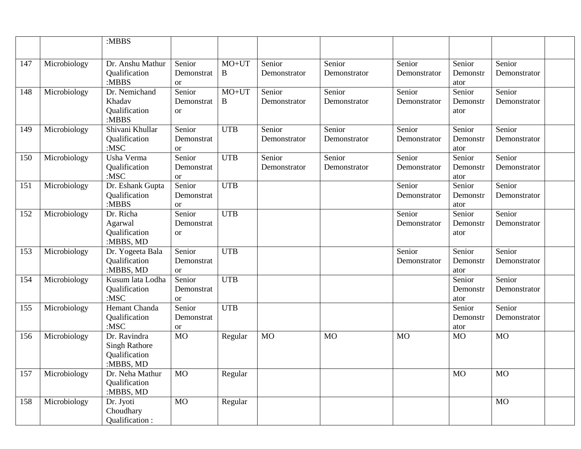|     |              | :MBBS                                                              |                                       |              |                        |                        |                        |                            |                        |  |
|-----|--------------|--------------------------------------------------------------------|---------------------------------------|--------------|------------------------|------------------------|------------------------|----------------------------|------------------------|--|
|     |              |                                                                    |                                       |              |                        |                        |                        |                            |                        |  |
| 147 | Microbiology | Dr. Anshu Mathur<br>Qualification<br>:MBBS                         | Senior<br>Demonstrat<br><b>or</b>     | $MO+UT$<br>B | Senior<br>Demonstrator | Senior<br>Demonstrator | Senior<br>Demonstrator | Senior<br>Demonstr<br>ator | Senior<br>Demonstrator |  |
| 148 | Microbiology | Dr. Nemichand<br>Khadav<br>Qualification<br>:MBBS                  | Senior<br>Demonstrat<br><sub>or</sub> | $MO+UT$<br>B | Senior<br>Demonstrator | Senior<br>Demonstrator | Senior<br>Demonstrator | Senior<br>Demonstr<br>ator | Senior<br>Demonstrator |  |
| 149 | Microbiology | Shivani Khullar<br>Qualification<br>$:$ MSC                        | Senior<br>Demonstrat<br><sub>or</sub> | <b>UTB</b>   | Senior<br>Demonstrator | Senior<br>Demonstrator | Senior<br>Demonstrator | Senior<br>Demonstr<br>ator | Senior<br>Demonstrator |  |
| 150 | Microbiology | Usha Verma<br>Qualification<br>$:$ MSC                             | Senior<br>Demonstrat<br><b>or</b>     | <b>UTB</b>   | Senior<br>Demonstrator | Senior<br>Demonstrator | Senior<br>Demonstrator | Senior<br>Demonstr<br>ator | Senior<br>Demonstrator |  |
| 151 | Microbiology | Dr. Eshank Gupta<br>Qualification<br>:MBBS                         | Senior<br>Demonstrat<br><sub>or</sub> | <b>UTB</b>   |                        |                        | Senior<br>Demonstrator | Senior<br>Demonstr<br>ator | Senior<br>Demonstrator |  |
| 152 | Microbiology | Dr. Richa<br>Agarwal<br>Qualification<br>:MBBS, MD                 | Senior<br>Demonstrat<br><sub>or</sub> | <b>UTB</b>   |                        |                        | Senior<br>Demonstrator | Senior<br>Demonstr<br>ator | Senior<br>Demonstrator |  |
| 153 | Microbiology | Dr. Yogeeta Bala<br>Qualification<br>:MBBS, MD                     | Senior<br>Demonstrat<br><sub>or</sub> | <b>UTB</b>   |                        |                        | Senior<br>Demonstrator | Senior<br>Demonstr<br>ator | Senior<br>Demonstrator |  |
| 154 | Microbiology | Kusum lata Lodha<br>Qualification<br>$:$ MSC                       | Senior<br>Demonstrat<br><b>or</b>     | <b>UTB</b>   |                        |                        |                        | Senior<br>Demonstr<br>ator | Senior<br>Demonstrator |  |
| 155 | Microbiology | Hemant Chanda<br>Qualification<br>$:$ MSC                          | Senior<br>Demonstrat<br><b>or</b>     | <b>UTB</b>   |                        |                        |                        | Senior<br>Demonstr<br>ator | Senior<br>Demonstrator |  |
| 156 | Microbiology | Dr. Ravindra<br><b>Singh Rathore</b><br>Qualification<br>:MBBS, MD | <b>MO</b>                             | Regular      | <b>MO</b>              | <b>MO</b>              | <b>MO</b>              | <b>MO</b>                  | <b>MO</b>              |  |
| 157 | Microbiology | Dr. Neha Mathur<br>Qualification<br>:MBBS, MD                      | <b>MO</b>                             | Regular      |                        |                        |                        | <b>MO</b>                  | <b>MO</b>              |  |
| 158 | Microbiology | Dr. Jyoti<br>Choudhary<br>Qualification:                           | <b>MO</b>                             | Regular      |                        |                        |                        |                            | <b>MO</b>              |  |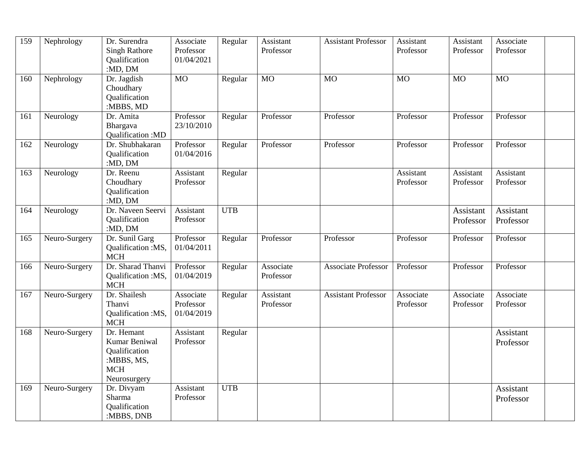| 159 | Nephrology    | Dr. Surendra<br><b>Singh Rathore</b><br>Qualification<br>:MD, DM                  | Associate<br>Professor<br>01/04/2021 | Regular    | Assistant<br>Professor | <b>Assistant Professor</b> | Assistant<br>Professor | Assistant<br>Professor | Associate<br>Professor |  |
|-----|---------------|-----------------------------------------------------------------------------------|--------------------------------------|------------|------------------------|----------------------------|------------------------|------------------------|------------------------|--|
| 160 | Nephrology    | Dr. Jagdish<br>Choudhary<br>Qualification<br>:MBBS, MD                            | <b>MO</b>                            | Regular    | <b>MO</b>              | M <sub>O</sub>             | <b>MO</b>              | <b>MO</b>              | M <sub>O</sub>         |  |
| 161 | Neurology     | Dr. Amita<br>Bhargava<br>Qualification: MD                                        | Professor<br>23/10/2010              | Regular    | Professor              | Professor                  | Professor              | Professor              | Professor              |  |
| 162 | Neurology     | Dr. Shubhakaran<br>Qualification<br>:MD, DM                                       | Professor<br>01/04/2016              | Regular    | Professor              | Professor                  | Professor              | Professor              | Professor              |  |
| 163 | Neurology     | Dr. Reenu<br>Choudhary<br>Qualification<br>:MD, DM                                | Assistant<br>Professor               | Regular    |                        |                            | Assistant<br>Professor | Assistant<br>Professor | Assistant<br>Professor |  |
| 164 | Neurology     | Dr. Naveen Seervi<br>Qualification<br>:MD, DM                                     | Assistant<br>Professor               | <b>UTB</b> |                        |                            |                        | Assistant<br>Professor | Assistant<br>Professor |  |
| 165 | Neuro-Surgery | Dr. Sunil Garg<br>Qualification :MS,<br><b>MCH</b>                                | Professor<br>01/04/2011              | Regular    | Professor              | Professor                  | Professor              | Professor              | Professor              |  |
| 166 | Neuro-Surgery | Dr. Sharad Thanvi<br>Qualification :MS,<br><b>MCH</b>                             | Professor<br>01/04/2019              | Regular    | Associate<br>Professor | <b>Associate Professor</b> | Professor              | Professor              | Professor              |  |
| 167 | Neuro-Surgery | Dr. Shailesh<br>Thanvi<br>Qualification :MS,<br><b>MCH</b>                        | Associate<br>Professor<br>01/04/2019 | Regular    | Assistant<br>Professor | <b>Assistant Professor</b> | Associate<br>Professor | Associate<br>Professor | Associate<br>Professor |  |
| 168 | Neuro-Surgery | Dr. Hemant<br>Kumar Beniwal<br>Qualification<br>:MBBS, MS,<br>MCH<br>Neurosurgery | Assistant<br>Professor               | Regular    |                        |                            |                        |                        | Assistant<br>Professor |  |
| 169 | Neuro-Surgery | Dr. Divyam<br>Sharma<br>Qualification<br>:MBBS, DNB                               | Assistant<br>Professor               | <b>UTB</b> |                        |                            |                        |                        | Assistant<br>Professor |  |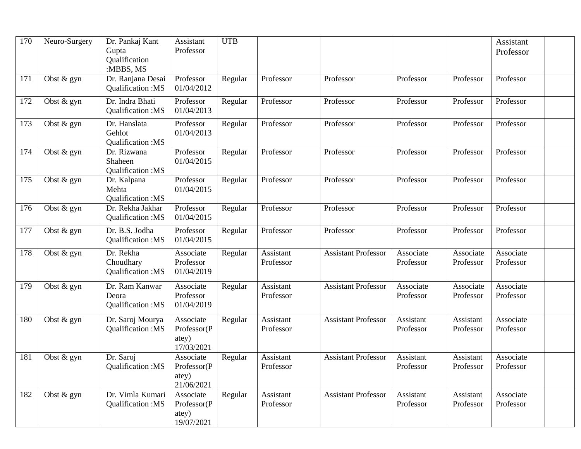| 170 | Neuro-Surgery | Dr. Pankaj Kant<br>Gupta<br>Qualification<br>:MBBS, MS | Assistant<br>Professor                          | <b>UTB</b> |                        |                            |                        |                        | Assistant<br>Professor |  |
|-----|---------------|--------------------------------------------------------|-------------------------------------------------|------------|------------------------|----------------------------|------------------------|------------------------|------------------------|--|
| 171 | Obst & gyn    | Dr. Ranjana Desai<br>Qualification: MS                 | Professor<br>01/04/2012                         | Regular    | Professor              | Professor                  | Professor              | Professor              | Professor              |  |
| 172 | Obst & gyn    | Dr. Indra Bhati<br>Qualification: MS                   | Professor<br>01/04/2013                         | Regular    | Professor              | Professor                  | Professor              | Professor              | Professor              |  |
| 173 | Obst $&$ gyn  | Dr. Hanslata<br>Gehlot<br>Qualification: MS            | Professor<br>01/04/2013                         | Regular    | Professor              | Professor                  | Professor              | Professor              | Professor              |  |
| 174 | Obst & gyn    | Dr. Rizwana<br>Shaheen<br>Qualification: MS            | Professor<br>01/04/2015                         | Regular    | Professor              | Professor                  | Professor              | Professor              | Professor              |  |
| 175 | Obst & gyn    | Dr. Kalpana<br>Mehta<br>Qualification: MS              | Professor<br>01/04/2015                         | Regular    | Professor              | Professor                  | Professor              | Professor              | Professor              |  |
| 176 | Obst & gyn    | Dr. Rekha Jakhar<br>Qualification:MS                   | Professor<br>01/04/2015                         | Regular    | Professor              | Professor                  | Professor              | Professor              | Professor              |  |
| 177 | Obst & gyn    | Dr. B.S. Jodha<br>Qualification: MS                    | Professor<br>01/04/2015                         | Regular    | Professor              | Professor                  | Professor              | Professor              | Professor              |  |
| 178 | Obst & gyn    | Dr. Rekha<br>Choudhary<br>Qualification:MS             | Associate<br>Professor<br>01/04/2019            | Regular    | Assistant<br>Professor | <b>Assistant Professor</b> | Associate<br>Professor | Associate<br>Professor | Associate<br>Professor |  |
| 179 | Obst & gyn    | Dr. Ram Kanwar<br>Deora<br>Qualification:MS            | Associate<br>Professor<br>01/04/2019            | Regular    | Assistant<br>Professor | <b>Assistant Professor</b> | Associate<br>Professor | Associate<br>Professor | Associate<br>Professor |  |
| 180 | Obst & gyn    | Dr. Saroj Mourya<br>Qualification:MS                   | Associate<br>Professor(P<br>atey)<br>17/03/2021 | Regular    | Assistant<br>Professor | <b>Assistant Professor</b> | Assistant<br>Professor | Assistant<br>Professor | Associate<br>Professor |  |
| 181 | Obst & gyn    | Dr. Saroj<br>Qualification:MS                          | Associate<br>Professor(P<br>atey)<br>21/06/2021 | Regular    | Assistant<br>Professor | <b>Assistant Professor</b> | Assistant<br>Professor | Assistant<br>Professor | Associate<br>Professor |  |
| 182 | Obst & gyn    | Dr. Vimla Kumari<br>Qualification: MS                  | Associate<br>Professor(P<br>atey)<br>19/07/2021 | Regular    | Assistant<br>Professor | <b>Assistant Professor</b> | Assistant<br>Professor | Assistant<br>Professor | Associate<br>Professor |  |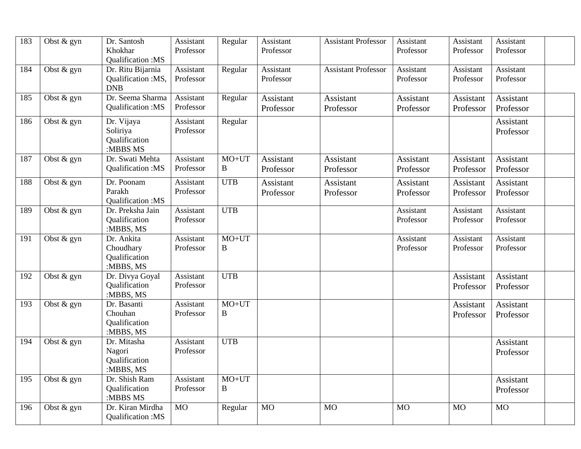| 183 | Obst & gyn   | Dr. Santosh                    | Assistant | Regular      | Assistant        | <b>Assistant Professor</b> | Assistant        | Assistant | Assistant |  |
|-----|--------------|--------------------------------|-----------|--------------|------------------|----------------------------|------------------|-----------|-----------|--|
|     |              | Khokhar                        | Professor |              | Professor        |                            | Professor        | Professor | Professor |  |
|     |              | Qualification: MS              |           |              |                  |                            |                  |           |           |  |
| 184 | Obst $&$ gyn | Dr. Ritu Bijarnia              | Assistant | Regular      | Assistant        | <b>Assistant Professor</b> | Assistant        | Assistant | Assistant |  |
|     |              | Qualification :MS,             | Professor |              | Professor        |                            | Professor        | Professor | Professor |  |
|     |              | <b>DNB</b>                     |           |              |                  |                            |                  |           |           |  |
| 185 | Obst $&$ gyn | Dr. Seema Sharma               | Assistant | Regular      | Assistant        | Assistant                  | <b>Assistant</b> | Assistant | Assistant |  |
|     |              | Qualification: MS              | Professor |              | Professor        | Professor                  | Professor        | Professor | Professor |  |
| 186 | Obst & gyn   | Dr. Vijaya                     | Assistant | Regular      |                  |                            |                  |           | Assistant |  |
|     |              | Soliriya                       | Professor |              |                  |                            |                  |           | Professor |  |
|     |              | Qualification                  |           |              |                  |                            |                  |           |           |  |
|     |              | :MBBS MS                       |           |              |                  |                            |                  |           |           |  |
| 187 | Obst $&$ gyn | Dr. Swati Mehta                | Assistant | $MO+UT$      | <b>Assistant</b> | Assistant                  | Assistant        | Assistant | Assistant |  |
|     |              | Qualification:MS               | Professor | $\bf{B}$     | Professor        | Professor                  | Professor        | Professor | Professor |  |
| 188 | Obst & gyn   | Dr. Poonam                     | Assistant | <b>UTB</b>   |                  |                            |                  |           |           |  |
|     |              | Parakh                         | Professor |              | Assistant        | Assistant                  | Assistant        | Assistant | Assistant |  |
|     |              | Qualification: MS              |           |              | Professor        | Professor                  | Professor        | Professor | Professor |  |
| 189 | Obst $&$ gyn | Dr. Preksha Jain               | Assistant | <b>UTB</b>   |                  |                            | Assistant        | Assistant | Assistant |  |
|     |              | Qualification                  | Professor |              |                  |                            | Professor        | Professor | Professor |  |
|     |              | :MBBS, MS                      |           |              |                  |                            |                  |           |           |  |
| 191 | Obst & gyn   | Dr. Ankita                     | Assistant | $MO+UT$      |                  |                            | Assistant        | Assistant | Assistant |  |
|     |              | Choudhary                      | Professor | $\, {\bf B}$ |                  |                            | Professor        | Professor | Professor |  |
|     |              | <b>Qualification</b>           |           |              |                  |                            |                  |           |           |  |
|     |              | :MBBS, MS                      |           |              |                  |                            |                  |           |           |  |
| 192 | Obst $&$ gyn | Dr. Divya Goyal                | Assistant | <b>UTB</b>   |                  |                            |                  | Assistant | Assistant |  |
|     |              | Qualification                  | Professor |              |                  |                            |                  | Professor | Professor |  |
|     |              | :MBBS, MS                      |           |              |                  |                            |                  |           |           |  |
| 193 | Obst $&$ gyn | Dr. Basanti                    | Assistant | $MO+UT$      |                  |                            |                  | Assistant | Assistant |  |
|     |              | Chouhan                        | Professor | $\bf{B}$     |                  |                            |                  | Professor | Professor |  |
|     |              | <b>Qualification</b>           |           |              |                  |                            |                  |           |           |  |
|     |              | :MBBS, MS                      |           |              |                  |                            |                  |           |           |  |
| 194 | Obst & gyn   | Dr. Mitasha                    | Assistant | <b>UTB</b>   |                  |                            |                  |           | Assistant |  |
|     |              | Nagori                         | Professor |              |                  |                            |                  |           | Professor |  |
|     |              | Qualification<br>:MBBS, MS     |           |              |                  |                            |                  |           |           |  |
|     |              |                                | Assistant | $MO+UT$      |                  |                            |                  |           | Assistant |  |
| 195 | Obst & gyn   | Dr. Shish Ram<br>Qualification | Professor | B            |                  |                            |                  |           |           |  |
|     |              | :MBBS MS                       |           |              |                  |                            |                  |           | Professor |  |
| 196 | Obst & gyn   | Dr. Kiran Mirdha               | <b>MO</b> | Regular      | <b>MO</b>        | <b>MO</b>                  | <b>MO</b>        | <b>MO</b> | <b>MO</b> |  |
|     |              | Qualification: MS              |           |              |                  |                            |                  |           |           |  |
|     |              |                                |           |              |                  |                            |                  |           |           |  |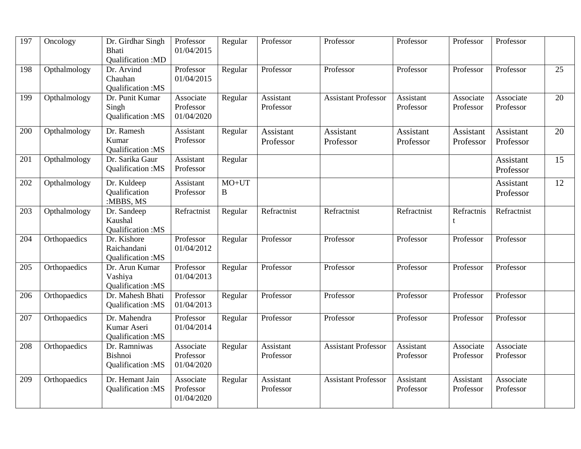| 197 | $\overline{O}$ ncology | Dr. Girdhar Singh<br><b>Bhati</b><br>Qualification:MD | Professor<br>01/04/2015              | Regular             | Professor              | Professor                  | Professor              | Professor              | Professor                     |    |
|-----|------------------------|-------------------------------------------------------|--------------------------------------|---------------------|------------------------|----------------------------|------------------------|------------------------|-------------------------------|----|
| 198 | Opthalmology           | Dr. Arvind<br>Chauhan<br>Qualification: MS            | Professor<br>01/04/2015              | Regular             | Professor              | Professor                  | Professor              | Professor              | Professor                     | 25 |
| 199 | Opthalmology           | Dr. Punit Kumar<br>Singh<br>Qualification:MS          | Associate<br>Professor<br>01/04/2020 | Regular             | Assistant<br>Professor | <b>Assistant Professor</b> | Assistant<br>Professor | Associate<br>Professor | Associate<br>Professor        | 20 |
| 200 | Opthalmology           | Dr. Ramesh<br>Kumar<br>Qualification:MS               | Assistant<br>Professor               | Regular             | Assistant<br>Professor | Assistant<br>Professor     | Assistant<br>Professor | Assistant<br>Professor | <b>Assistant</b><br>Professor | 20 |
| 201 | Opthalmology           | Dr. Sarika Gaur<br>Qualification:MS                   | Assistant<br>Professor               | Regular             |                        |                            |                        |                        | Assistant<br>Professor        | 15 |
| 202 | Opthalmology           | Dr. Kuldeep<br>Qualification<br>:MBBS, MS             | Assistant<br>Professor               | $MO+UT$<br>$\bf{B}$ |                        |                            |                        |                        | Assistant<br>Professor        | 12 |
| 203 | Opthalmology           | Dr. Sandeep<br>Kaushal<br><b>Oualification:MS</b>     | Refractnist                          | Regular             | Refractnist            | Refractnist                | Refractnist            | Refractnis<br>t        | Refractnist                   |    |
| 204 | Orthopaedics           | Dr. Kishore<br>Raichandani<br>Qualification:MS        | Professor<br>01/04/2012              | Regular             | Professor              | Professor                  | Professor              | Professor              | Professor                     |    |
| 205 | Orthopaedics           | Dr. Arun Kumar<br>Vashiya<br>Qualification: MS        | Professor<br>01/04/2013              | Regular             | Professor              | Professor                  | Professor              | Professor              | Professor                     |    |
| 206 | Orthopaedics           | Dr. Mahesh Bhati<br>Qualification:MS                  | Professor<br>01/04/2013              | Regular             | Professor              | Professor                  | Professor              | Professor              | Professor                     |    |
| 207 | Orthopaedics           | Dr. Mahendra<br>Kumar Aseri<br>Qualification:MS       | Professor<br>01/04/2014              | Regular             | Professor              | Professor                  | Professor              | Professor              | Professor                     |    |
| 208 | Orthopaedics           | Dr. Ramniwas<br>Bishnoi<br>Qualification:MS           | Associate<br>Professor<br>01/04/2020 | Regular             | Assistant<br>Professor | <b>Assistant Professor</b> | Assistant<br>Professor | Associate<br>Professor | Associate<br>Professor        |    |
| 209 | Orthopaedics           | Dr. Hemant Jain<br>Qualification:MS                   | Associate<br>Professor<br>01/04/2020 | Regular             | Assistant<br>Professor | <b>Assistant Professor</b> | Assistant<br>Professor | Assistant<br>Professor | Associate<br>Professor        |    |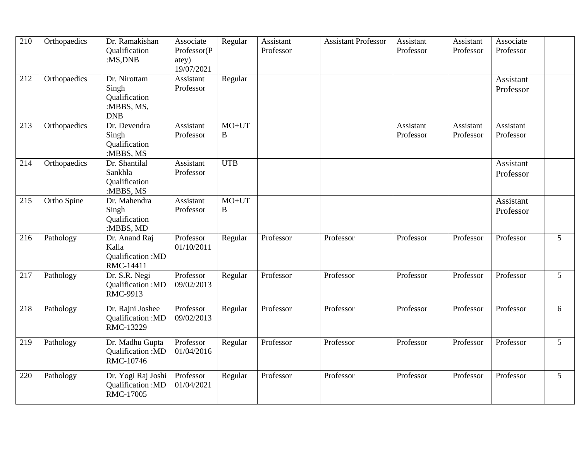| 210 | Orthopaedics | Dr. Ramakishan<br>Qualification<br>:MS,DNB                         | Associate<br>Professor(P<br>atey)<br>19/07/2021 | Regular             | Assistant<br>Professor | <b>Assistant Professor</b> | Assistant<br>Professor | Assistant<br>Professor | Associate<br>Professor |                 |
|-----|--------------|--------------------------------------------------------------------|-------------------------------------------------|---------------------|------------------------|----------------------------|------------------------|------------------------|------------------------|-----------------|
| 212 | Orthopaedics | Dr. Nirottam<br>Singh<br>Qualification<br>:MBBS, MS,<br><b>DNB</b> | Assistant<br>Professor                          | Regular             |                        |                            |                        |                        | Assistant<br>Professor |                 |
| 213 | Orthopaedics | Dr. Devendra<br>Singh<br>Qualification<br>:MBBS, MS                | Assistant<br>Professor                          | $MO+UT$<br>B        |                        |                            | Assistant<br>Professor | Assistant<br>Professor | Assistant<br>Professor |                 |
| 214 | Orthopaedics | Dr. Shantilal<br>Sankhla<br>Qualification<br>:MBBS, MS             | Assistant<br>Professor                          | <b>UTB</b>          |                        |                            |                        |                        | Assistant<br>Professor |                 |
| 215 | Ortho Spine  | Dr. Mahendra<br>Singh<br>Qualification<br>:MBBS, MD                | Assistant<br>Professor                          | $MO+UT$<br>$\bf{B}$ |                        |                            |                        |                        | Assistant<br>Professor |                 |
| 216 | Pathology    | Dr. Anand Raj<br>Kalla<br>Qualification: MD<br>RMC-14411           | Professor<br>01/10/2011                         | Regular             | Professor              | Professor                  | Professor              | Professor              | Professor              | 5 <sup>5</sup>  |
| 217 | Pathology    | Dr. S.R. Negi<br>Qualification:MD<br>RMC-9913                      | Professor<br>09/02/2013                         | Regular             | Professor              | Professor                  | Professor              | Professor              | Professor              | 5 <sup>1</sup>  |
| 218 | Pathology    | Dr. Rajni Joshee<br>Qualification: MD<br>RMC-13229                 | Professor<br>09/02/2013                         | Regular             | Professor              | Professor                  | Professor              | Professor              | Professor              | 6               |
| 219 | Pathology    | Dr. Madhu Gupta<br>Qualification: MD<br>RMC-10746                  | Professor<br>01/04/2016                         | Regular             | Professor              | Professor                  | Professor              | Professor              | Professor              | $\overline{5}$  |
| 220 | Pathology    | Dr. Yogi Raj Joshi<br>Qualification:MD<br>RMC-17005                | Professor<br>01/04/2021                         | Regular             | Professor              | Professor                  | Professor              | Professor              | Professor              | $5\overline{)}$ |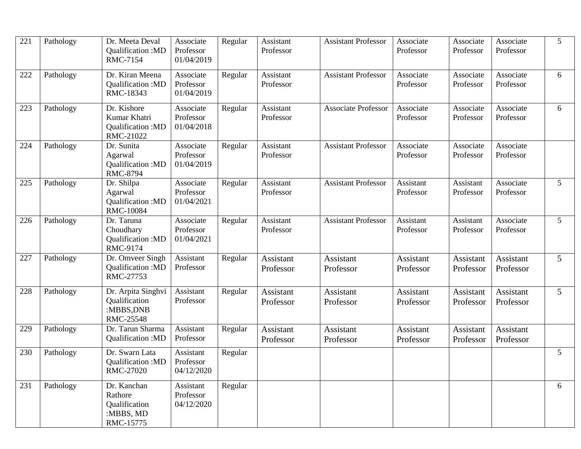| 221 | Pathology | Dr. Meeta Deval<br>Qualification: MD<br>RMC-7154                  | Associate<br>Professor<br>01/04/2019 | Regular | Assistant<br>Professor        | <b>Assistant Professor</b>    | Associate<br>Professor | Associate<br>Professor | Associate<br>Professor | 5              |
|-----|-----------|-------------------------------------------------------------------|--------------------------------------|---------|-------------------------------|-------------------------------|------------------------|------------------------|------------------------|----------------|
| 222 | Pathology | Dr. Kiran Meena<br>Qualification: MD<br>RMC-18343                 | Associate<br>Professor<br>01/04/2019 | Regular | Assistant<br>Professor        | <b>Assistant Professor</b>    | Associate<br>Professor | Associate<br>Professor | Associate<br>Professor | 6              |
| 223 | Pathology | Dr. Kishore<br>Kumar Khatri<br>Qualification:MD<br>RMC-21022      | Associate<br>Professor<br>01/04/2018 | Regular | Assistant<br>Professor        | <b>Associate Professor</b>    | Associate<br>Professor | Associate<br>Professor | Associate<br>Professor | 6              |
| 224 | Pathology | Dr. Sunita<br>Agarwal<br>Qualification: MD<br><b>RMC-8794</b>     | Associate<br>Professor<br>01/04/2019 | Regular | Assistant<br>Professor        | <b>Assistant Professor</b>    | Associate<br>Professor | Associate<br>Professor | Associate<br>Professor |                |
| 225 | Pathology | Dr. Shilpa<br>Agarwal<br>Qualification:MD<br><b>RMC-10084</b>     | Associate<br>Professor<br>01/04/2021 | Regular | Assistant<br>Professor        | <b>Assistant Professor</b>    | Assistant<br>Professor | Assistant<br>Professor | Associate<br>Professor | 5              |
| 226 | Pathology | Dr. Taruna<br>Choudhary<br>Qualification:MD<br>RMC-9174           | Associate<br>Professor<br>01/04/2021 | Regular | Assistant<br>Professor        | <b>Assistant Professor</b>    | Assistant<br>Professor | Assistant<br>Professor | Associate<br>Professor | 5              |
| 227 | Pathology | Dr. Omveer Singh<br>Qualification: MD<br>RMC-27753                | Assistant<br>Professor               | Regular | <b>Assistant</b><br>Professor | <b>Assistant</b><br>Professor | Assistant<br>Professor | Assistant<br>Professor | Assistant<br>Professor | 5              |
| 228 | Pathology | Dr. Arpita Singhvi<br>Qualification<br>:MBBS, DNB<br>RMC-25548    | Assistant<br>Professor               | Regular | Assistant<br>Professor        | Assistant<br>Professor        | Assistant<br>Professor | Assistant<br>Professor | Assistant<br>Professor | 5 <sup>5</sup> |
| 229 | Pathology | Dr. Tarun Sharma<br>Qualification: MD                             | Assistant<br>Professor               | Regular | Assistant<br>Professor        | Assistant<br>Professor        | Assistant<br>Professor | Assistant<br>Professor | Assistant<br>Professor |                |
| 230 | Pathology | Dr. Swarn Lata<br>Qualification: MD<br>RMC-27020                  | Assistant<br>Professor<br>04/12/2020 | Regular |                               |                               |                        |                        |                        | 5              |
| 231 | Pathology | Dr. Kanchan<br>Rathore<br>Qualification<br>:MBBS, MD<br>RMC-15775 | Assistant<br>Professor<br>04/12/2020 | Regular |                               |                               |                        |                        |                        | 6              |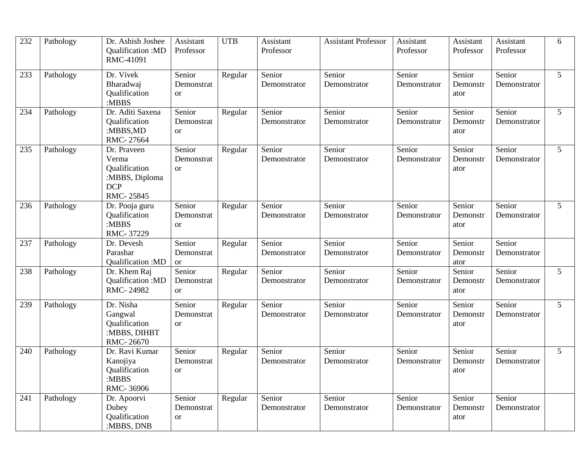| 232 | Pathology | Dr. Ashish Joshee<br>Qualification: MD<br>RMC-41091                                | Assistant<br>Professor                | <b>UTB</b> | Assistant<br>Professor | <b>Assistant Professor</b> | Assistant<br>Professor | Assistant<br>Professor     | Assistant<br>Professor | 6              |
|-----|-----------|------------------------------------------------------------------------------------|---------------------------------------|------------|------------------------|----------------------------|------------------------|----------------------------|------------------------|----------------|
| 233 | Pathology | Dr. Vivek<br>Bharadwaj<br>Qualification<br>:MBBS                                   | Senior<br>Demonstrat<br><sub>or</sub> | Regular    | Senior<br>Demonstrator | Senior<br>Demonstrator     | Senior<br>Demonstrator | Senior<br>Demonstr<br>ator | Senior<br>Demonstrator | 5 <sup>5</sup> |
| 234 | Pathology | Dr. Aditi Saxena<br>Qualification<br>:MBBS,MD<br>RMC-27664                         | Senior<br>Demonstrat<br><sub>or</sub> | Regular    | Senior<br>Demonstrator | Senior<br>Demonstrator     | Senior<br>Demonstrator | Senior<br>Demonstr<br>ator | Senior<br>Demonstrator | 5 <sup>1</sup> |
| 235 | Pathology | Dr. Praveen<br>Verma<br>Qualification<br>:MBBS, Diploma<br><b>DCP</b><br>RMC-25845 | Senior<br>Demonstrat<br><b>or</b>     | Regular    | Senior<br>Demonstrator | Senior<br>Demonstrator     | Senior<br>Demonstrator | Senior<br>Demonstr<br>ator | Senior<br>Demonstrator | 5 <sup>5</sup> |
| 236 | Pathology | Dr. Pooja guru<br>Qualification<br>:MBBS<br>RMC-37229                              | Senior<br>Demonstrat<br><sub>or</sub> | Regular    | Senior<br>Demonstrator | Senior<br>Demonstrator     | Senior<br>Demonstrator | Senior<br>Demonstr<br>ator | Senior<br>Demonstrator | 5 <sup>5</sup> |
| 237 | Pathology | Dr. Devesh<br>Parashar<br>Qualification: MD                                        | Senior<br>Demonstrat<br><sub>or</sub> | Regular    | Senior<br>Demonstrator | Senior<br>Demonstrator     | Senior<br>Demonstrator | Senior<br>Demonstr<br>ator | Senior<br>Demonstrator |                |
| 238 | Pathology | Dr. Khem Raj<br>Qualification: MD<br>RMC-24982                                     | Senior<br>Demonstrat<br><sub>or</sub> | Regular    | Senior<br>Demonstrator | Senior<br>Demonstrator     | Senior<br>Demonstrator | Senior<br>Demonstr<br>ator | Senior<br>Demonstrator | $5^{\circ}$    |
| 239 | Pathology | Dr. Nisha<br>Gangwal<br>Qualification<br>:MBBS, DIHBT<br>RMC-26670                 | Senior<br>Demonstrat<br><sub>or</sub> | Regular    | Senior<br>Demonstrator | Senior<br>Demonstrator     | Senior<br>Demonstrator | Senior<br>Demonstr<br>ator | Senior<br>Demonstrator | $5^{\circ}$    |
| 240 | Pathology | Dr. Ravi Kumar<br>Kanojiya<br>Qualification<br>:MBBS<br>RMC-36906                  | Senior<br>Demonstrat<br><b>or</b>     | Regular    | Senior<br>Demonstrator | Senior<br>Demonstrator     | Senior<br>Demonstrator | Senior<br>Demonstr<br>ator | Senior<br>Demonstrator | 5              |
| 241 | Pathology | Dr. Apoorvi<br>Dubey<br>Qualification<br>:MBBS, DNB                                | Senior<br>Demonstrat<br><sub>or</sub> | Regular    | Senior<br>Demonstrator | Senior<br>Demonstrator     | Senior<br>Demonstrator | Senior<br>Demonstr<br>ator | Senior<br>Demonstrator |                |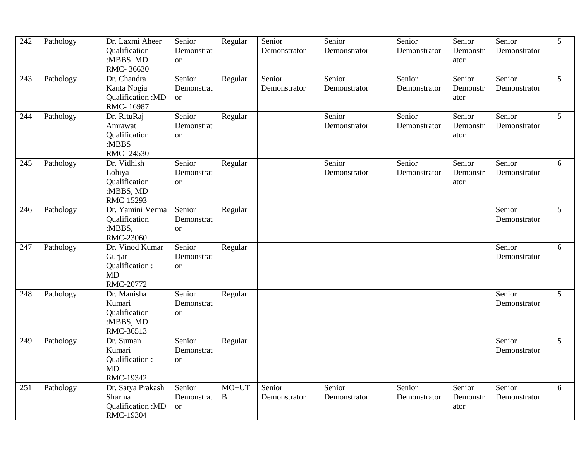| 242 | Pathology | Dr. Laxmi Aheer<br>Qualification<br>:MBBS, MD<br>RMC-36630            | Senior<br>Demonstrat<br><b>or</b>     | Regular             | Senior<br>Demonstrator | Senior<br>Demonstrator | Senior<br>Demonstrator | Senior<br>Demonstr<br>ator | Senior<br>Demonstrator | 5              |
|-----|-----------|-----------------------------------------------------------------------|---------------------------------------|---------------------|------------------------|------------------------|------------------------|----------------------------|------------------------|----------------|
| 243 | Pathology | Dr. Chandra<br>Kanta Nogia<br>Qualification: MD<br>RMC-16987          | Senior<br>Demonstrat<br><sub>or</sub> | Regular             | Senior<br>Demonstrator | Senior<br>Demonstrator | Senior<br>Demonstrator | Senior<br>Demonstr<br>ator | Senior<br>Demonstrator | 5 <sup>1</sup> |
| 244 | Pathology | Dr. RituRaj<br>Amrawat<br>Qualification<br>:MBBS<br>RMC-24530         | Senior<br>Demonstrat<br>$\alpha$      | Regular             |                        | Senior<br>Demonstrator | Senior<br>Demonstrator | Senior<br>Demonstr<br>ator | Senior<br>Demonstrator | 5 <sup>1</sup> |
| 245 | Pathology | Dr. Vidhish<br>Lohiya<br>Qualification<br>:MBBS, MD<br>RMC-15293      | Senior<br>Demonstrat<br><b>or</b>     | Regular             |                        | Senior<br>Demonstrator | Senior<br>Demonstrator | Senior<br>Demonstr<br>ator | Senior<br>Demonstrator | 6              |
| 246 | Pathology | Dr. Yamini Verma<br>Qualification<br>:MBBS,<br>RMC-23060              | Senior<br>Demonstrat<br><b>or</b>     | Regular             |                        |                        |                        |                            | Senior<br>Demonstrator | $\mathfrak{S}$ |
| 247 | Pathology | Dr. Vinod Kumar<br>Gurjar<br>Qualification:<br><b>MD</b><br>RMC-20772 | Senior<br>Demonstrat<br><sub>or</sub> | Regular             |                        |                        |                        |                            | Senior<br>Demonstrator | 6              |
| 248 | Pathology | Dr. Manisha<br>Kumari<br>Qualification<br>:MBBS, MD<br>RMC-36513      | Senior<br>Demonstrat<br><sub>or</sub> | Regular             |                        |                        |                        |                            | Senior<br>Demonstrator | 5 <sup>5</sup> |
| 249 | Pathology | Dr. Suman<br>Kumari<br>Qualification:<br>MD<br>RMC-19342              | Senior<br>Demonstrat<br><b>or</b>     | Regular             |                        |                        |                        |                            | Senior<br>Demonstrator | 5 <sup>1</sup> |
| 251 | Pathology | Dr. Satya Prakash<br>Sharma<br>Qualification: MD<br>RMC-19304         | Senior<br>Demonstrat<br><b>or</b>     | $MO+UT$<br>$\bf{B}$ | Senior<br>Demonstrator | Senior<br>Demonstrator | Senior<br>Demonstrator | Senior<br>Demonstr<br>ator | Senior<br>Demonstrator | 6              |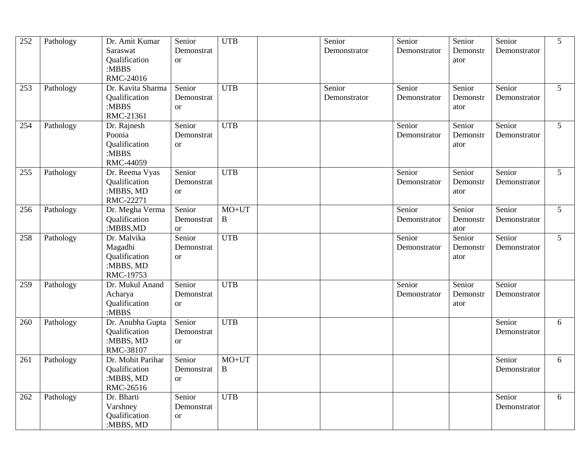| 252 | Pathology | Dr. Amit Kumar<br>Saraswat<br>Qualification<br>:MBBS<br>RMC-24016 | Senior<br>Demonstrat<br><b>or</b>         | <b>UTB</b>   | Senior<br>Demonstrator | Senior<br>Demonstrator | Senior<br>Demonstr<br>ator | Senior<br>Demonstrator | 5              |
|-----|-----------|-------------------------------------------------------------------|-------------------------------------------|--------------|------------------------|------------------------|----------------------------|------------------------|----------------|
| 253 | Pathology | Dr. Kavita Sharma<br>Qualification<br>:MBBS<br>RMC-21361          | Senior<br>Demonstrat<br><sub>or</sub>     | <b>UTB</b>   | Senior<br>Demonstrator | Senior<br>Demonstrator | Senior<br>Demonstr<br>ator | Senior<br>Demonstrator | 5              |
| 254 | Pathology | Dr. Rajnesh<br>Poonia<br>Qualification<br>:MBBS<br>RMC-44059      | Senior<br>Demonstrat<br><b>or</b>         | <b>UTB</b>   |                        | Senior<br>Demonstrator | Senior<br>Demonstr<br>ator | Senior<br>Demonstrator | 5 <sup>5</sup> |
| 255 | Pathology | Dr. Reema Vyas<br>Qualification<br>:MBBS, MD<br>RMC-22271         | Senior<br>Demonstrat<br><b>or</b>         | <b>UTB</b>   |                        | Senior<br>Demonstrator | Senior<br>Demonstr<br>ator | Senior<br>Demonstrator | 5 <sup>1</sup> |
| 256 | Pathology | Dr. Megha Verma<br>Qualification<br>:MBBS,MD                      | Senior<br>Demonstrat<br><b>or</b>         | $MO+UT$<br>B |                        | Senior<br>Demonstrator | Senior<br>Demonstr<br>ator | Senior<br>Demonstrator | 5 <sup>1</sup> |
| 258 | Pathology | Dr. Malvika<br>Magadhi<br>Qualification<br>:MBBS, MD<br>RMC-19753 | Senior<br>Demonstrat<br><sub>or</sub>     | <b>UTB</b>   |                        | Senior<br>Demonstrator | Senior<br>Demonstr<br>ator | Senior<br>Demonstrator | 5 <sup>5</sup> |
| 259 | Pathology | Dr. Mukul Anand<br>Acharya<br>Qualification<br>:MBBS              | Senior<br>Demonstrat<br><b>or</b>         | <b>UTB</b>   |                        | Senior<br>Demonstrator | Senior<br>Demonstr<br>ator | Senior<br>Demonstrator |                |
| 260 | Pathology | Dr. Anubha Gupta<br>Qualification<br>:MBBS, MD<br>RMC-38107       | Senior<br>Demonstrat<br><b>or</b>         | <b>UTB</b>   |                        |                        |                            | Senior<br>Demonstrator | 6              |
| 261 | Pathology | Dr. Mohit Parihar<br>Qualification<br>:MBBS, MD<br>RMC-26516      | Senior<br>Demonstrat   B<br><sub>or</sub> | $MO+UT$      |                        |                        |                            | Senior<br>Demonstrator | 6              |
| 262 | Pathology | Dr. Bharti<br>Varshney<br>Qualification<br>:MBBS, MD              | Senior<br>Demonstrat<br><b>or</b>         | <b>UTB</b>   |                        |                        |                            | Senior<br>Demonstrator | 6              |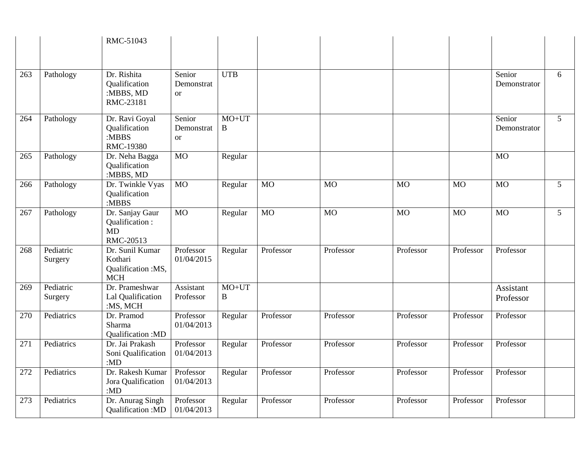|     |                      | RMC-51043                                                      |                                       |              |           |                  |           |           |                        |                |
|-----|----------------------|----------------------------------------------------------------|---------------------------------------|--------------|-----------|------------------|-----------|-----------|------------------------|----------------|
| 263 | Pathology            | Dr. Rishita<br>Qualification<br>:MBBS, MD<br>RMC-23181         | Senior<br>Demonstrat<br><sub>or</sub> | <b>UTB</b>   |           |                  |           |           | Senior<br>Demonstrator | 6              |
| 264 | Pathology            | Dr. Ravi Goyal<br>Qualification<br>:MBBS<br>RMC-19380          | Senior<br>Demonstrat<br><b>or</b>     | $MO+UT$<br>B |           |                  |           |           | Senior<br>Demonstrator | 5 <sup>5</sup> |
| 265 | Pathology            | Dr. Neha Bagga<br>Qualification<br>:MBBS, MD                   | <b>MO</b>                             | Regular      |           |                  |           |           | $\overline{MO}$        |                |
| 266 | Pathology            | Dr. Twinkle Vyas<br>Qualification<br>:MBBS                     | $\overline{MO}$                       | Regular      | <b>MO</b> | <b>MO</b>        | <b>MO</b> | <b>MO</b> | M <sub>O</sub>         | 5              |
| 267 | Pathology            | Dr. Sanjay Gaur<br>Qualification:<br><b>MD</b><br>RMC-20513    | <b>MO</b>                             | Regular      | <b>MO</b> | $\overline{M}$ O | <b>MO</b> | <b>MO</b> | M <sub>O</sub>         | $\overline{5}$ |
| 268 | Pediatric<br>Surgery | Dr. Sunil Kumar<br>Kothari<br>Qualification :MS,<br><b>MCH</b> | Professor<br>01/04/2015               | Regular      | Professor | Professor        | Professor | Professor | Professor              |                |
| 269 | Pediatric<br>Surgery | Dr. Prameshwar<br>Lal Qualification<br>:MS, MCH                | Assistant<br>Professor                | $MO+UT$<br>B |           |                  |           |           | Assistant<br>Professor |                |
| 270 | Pediatrics           | Dr. Pramod<br>Sharma<br>Qualification: MD                      | Professor<br>01/04/2013               | Regular      | Professor | Professor        | Professor | Professor | Professor              |                |
| 271 | Pediatrics           | Dr. Jai Prakash<br>Soni Qualification<br>:MD                   | Professor<br>01/04/2013               | Regular      | Professor | Professor        | Professor | Professor | Professor              |                |
| 272 | Pediatrics           | Dr. Rakesh Kumar<br>Jora Qualification<br>: $MD$               | Professor<br>01/04/2013               | Regular      | Professor | Professor        | Professor | Professor | Professor              |                |
| 273 | Pediatrics           | Dr. Anurag Singh<br>Qualification: MD                          | Professor<br>01/04/2013               | Regular      | Professor | Professor        | Professor | Professor | Professor              |                |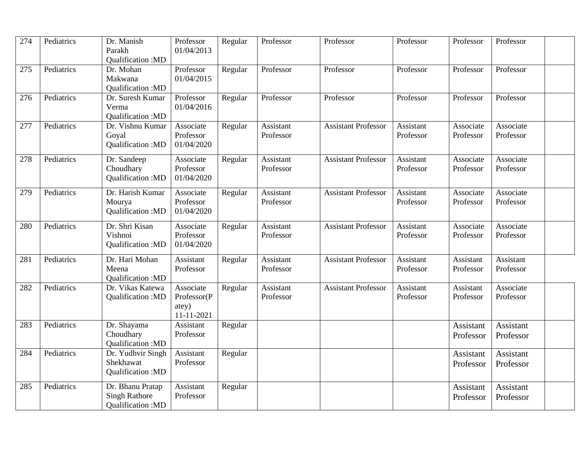| 274 | Pediatrics | Dr. Manish<br>Parakh<br>Qualification:MD                      | Professor<br>01/04/2013                         | Regular | Professor              | Professor                  | Professor              | Professor              | Professor                     |
|-----|------------|---------------------------------------------------------------|-------------------------------------------------|---------|------------------------|----------------------------|------------------------|------------------------|-------------------------------|
| 275 | Pediatrics | Dr. Mohan<br>Makwana<br><b>Oualification:MD</b>               | Professor<br>01/04/2015                         | Regular | Professor              | Professor                  | Professor              | Professor              | Professor                     |
| 276 | Pediatrics | Dr. Suresh Kumar<br>Verma<br>Qualification: MD                | Professor<br>01/04/2016                         | Regular | Professor              | Professor                  | Professor              | Professor              | Professor                     |
| 277 | Pediatrics | Dr. Vishnu Kumar<br>Goyal<br>Qualification: MD                | Associate<br>Professor<br>01/04/2020            | Regular | Assistant<br>Professor | <b>Assistant Professor</b> | Assistant<br>Professor | Associate<br>Professor | Associate<br>Professor        |
| 278 | Pediatrics | Dr. Sandeep<br>Choudhary<br>Qualification: MD                 | Associate<br>Professor<br>01/04/2020            | Regular | Assistant<br>Professor | <b>Assistant Professor</b> | Assistant<br>Professor | Associate<br>Professor | Associate<br>Professor        |
| 279 | Pediatrics | Dr. Harish Kumar<br>Mourya<br>Qualification:MD                | Associate<br>Professor<br>01/04/2020            | Regular | Assistant<br>Professor | <b>Assistant Professor</b> | Assistant<br>Professor | Associate<br>Professor | Associate<br>Professor        |
| 280 | Pediatrics | Dr. Shri Kisan<br>Vishnoi<br>Qualification:MD                 | Associate<br>Professor<br>01/04/2020            | Regular | Assistant<br>Professor | <b>Assistant Professor</b> | Assistant<br>Professor | Associate<br>Professor | Associate<br>Professor        |
| 281 | Pediatrics | Dr. Hari Mohan<br>Meena<br>Qualification: MD                  | Assistant<br>Professor                          | Regular | Assistant<br>Professor | <b>Assistant Professor</b> | Assistant<br>Professor | Assistant<br>Professor | Assistant<br>Professor        |
| 282 | Pediatrics | Dr. Vikas Katewa<br>Qualification: MD                         | Associate<br>Professor(P<br>atey)<br>11-11-2021 | Regular | Assistant<br>Professor | <b>Assistant Professor</b> | Assistant<br>Professor | Assistant<br>Professor | Associate<br>Professor        |
| 283 | Pediatrics | Dr. Shayama<br>Choudhary<br><b>Qualification:MD</b>           | Assistant<br>Professor                          | Regular |                        |                            |                        | Assistant<br>Professor | Assistant<br>Professor        |
| 284 | Pediatrics | Dr. Yudhvir Singh<br>Shekhawat<br>Qualification: MD           | Assistant<br>Professor                          | Regular |                        |                            |                        | Assistant<br>Professor | <b>Assistant</b><br>Professor |
| 285 | Pediatrics | Dr. Bhanu Pratap<br><b>Singh Rathore</b><br>Qualification: MD | Assistant<br>Professor                          | Regular |                        |                            |                        | Assistant<br>Professor | Assistant<br>Professor        |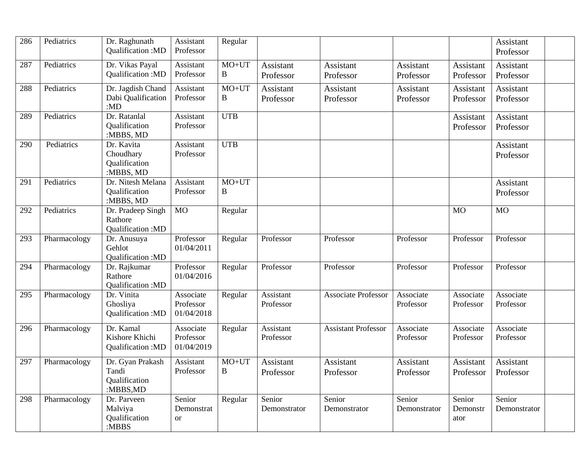| 286 | Pediatrics   | Dr. Raghunath<br>Qualification: MD                     | Assistant<br>Professor               | Regular                 |                        |                            |                        |                            | Assistant<br>Professor |  |
|-----|--------------|--------------------------------------------------------|--------------------------------------|-------------------------|------------------------|----------------------------|------------------------|----------------------------|------------------------|--|
| 287 | Pediatrics   | Dr. Vikas Payal<br>Qualification:MD                    | Assistant<br>Professor               | $MO+UT$<br>$\, {\bf B}$ | Assistant<br>Professor | Assistant<br>Professor     | Assistant<br>Professor | Assistant<br>Professor     | Assistant<br>Professor |  |
| 288 | Pediatrics   | Dr. Jagdish Chand<br>Dabi Qualification<br>:MD         | Assistant<br>Professor               | $MO+UT$<br>B            | Assistant<br>Professor | Assistant<br>Professor     | Assistant<br>Professor | Assistant<br>Professor     | Assistant<br>Professor |  |
| 289 | Pediatrics   | Dr. Ratanlal<br>Qualification<br>:MBBS, MD             | Assistant<br>Professor               | <b>UTB</b>              |                        |                            |                        | Assistant<br>Professor     | Assistant<br>Professor |  |
| 290 | Pediatrics   | Dr. Kavita<br>Choudhary<br>Qualification<br>:MBBS, MD  | Assistant<br>Professor               | <b>UTB</b>              |                        |                            |                        |                            | Assistant<br>Professor |  |
| 291 | Pediatrics   | Dr. Nitesh Melana<br>Qualification<br>:MBBS, MD        | Assistant<br>Professor               | $MO+UT$<br>$\bf{B}$     |                        |                            |                        |                            | Assistant<br>Professor |  |
| 292 | Pediatrics   | Dr. Pradeep Singh<br>Rathore<br>Qualification: MD      | <b>MO</b>                            | Regular                 |                        |                            |                        | <b>MO</b>                  | <b>MO</b>              |  |
| 293 | Pharmacology | Dr. Anusuya<br>Gehlot<br>Qualification: MD             | Professor<br>01/04/2011              | Regular                 | Professor              | Professor                  | Professor              | Professor                  | Professor              |  |
| 294 | Pharmacology | Dr. Rajkumar<br>Rathore<br><b>Oualification:MD</b>     | Professor<br>01/04/2016              | Regular                 | Professor              | Professor                  | Professor              | Professor                  | Professor              |  |
| 295 | Pharmacology | Dr. Vinita<br>Ghosliya<br>Qualification: MD            | Associate<br>Professor<br>01/04/2018 | Regular                 | Assistant<br>Professor | <b>Associate Professor</b> | Associate<br>Professor | Associate<br>Professor     | Associate<br>Professor |  |
| 296 | Pharmacology | Dr. Kamal<br>Kishore Khichi<br>Qualification: MD       | Associate<br>Professor<br>01/04/2019 | Regular                 | Assistant<br>Professor | <b>Assistant Professor</b> | Associate<br>Professor | Associate<br>Professor     | Associate<br>Professor |  |
| 297 | Pharmacology | Dr. Gyan Prakash<br>Tandi<br>Qualification<br>:MBBS,MD | Assistant<br>Professor               | $MO+UT$<br>$\, {\bf B}$ | Assistant<br>Professor | Assistant<br>Professor     | Assistant<br>Professor | Assistant<br>Professor     | Assistant<br>Professor |  |
| 298 | Pharmacology | Dr. Parveen<br>Malviya<br>Qualification<br>:MBBS       | Senior<br>Demonstrat<br><b>or</b>    | Regular                 | Senior<br>Demonstrator | Senior<br>Demonstrator     | Senior<br>Demonstrator | Senior<br>Demonstr<br>ator | Senior<br>Demonstrator |  |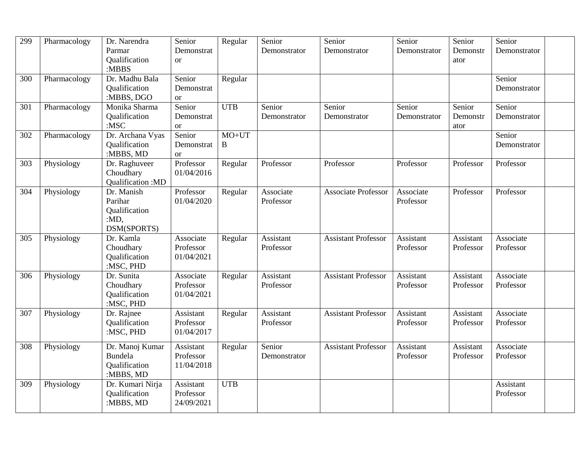| 299 | Pharmacology | Dr. Narendra<br>Parmar<br>Qualification<br>:MBBS                  | Senior<br>Demonstrat<br><sub>or</sub> | Regular          | Senior<br>Demonstrator        | Senior<br>Demonstrator     | Senior<br>Demonstrator | Senior<br>Demonstr<br>ator | Senior<br>Demonstrator        |  |
|-----|--------------|-------------------------------------------------------------------|---------------------------------------|------------------|-------------------------------|----------------------------|------------------------|----------------------------|-------------------------------|--|
| 300 | Pharmacology | Dr. Madhu Bala<br>Oualification<br>:MBBS, DGO                     | Senior<br>Demonstrat<br><b>or</b>     | Regular          |                               |                            |                        |                            | Senior<br>Demonstrator        |  |
| 301 | Pharmacology | Monika Sharma<br>Qualification<br>$:$ MSC                         | Senior<br>Demonstrat<br><b>or</b>     | $\overline{UTB}$ | Senior<br>Demonstrator        | Senior<br>Demonstrator     | Senior<br>Demonstrator | Senior<br>Demonstr<br>ator | Senior<br>Demonstrator        |  |
| 302 | Pharmacology | Dr. Archana Vyas<br>Qualification<br>:MBBS, MD                    | Senior<br>Demonstrat<br><b>or</b>     | $MO+UT$<br>B     |                               |                            |                        |                            | Senior<br>Demonstrator        |  |
| 303 | Physiology   | Dr. Raghuveer<br>Choudhary<br>Qualification: MD                   | Professor<br>01/04/2016               | Regular          | Professor                     | Professor                  | Professor              | Professor                  | Professor                     |  |
| 304 | Physiology   | Dr. Manish<br>Parihar<br>Qualification<br>: $MD$ ,<br>DSM(SPORTS) | Professor<br>01/04/2020               | Regular          | Associate<br>Professor        | <b>Associate Professor</b> | Associate<br>Professor | Professor                  | Professor                     |  |
| 305 | Physiology   | Dr. Kamla<br>Choudhary<br>Qualification<br>:MSC, PHD              | Associate<br>Professor<br>01/04/2021  | Regular          | Assistant<br>Professor        | <b>Assistant Professor</b> | Assistant<br>Professor | Assistant<br>Professor     | Associate<br>Professor        |  |
| 306 | Physiology   | Dr. Sunita<br>Choudhary<br>Qualification<br>:MSC, PHD             | Associate<br>Professor<br>01/04/2021  | Regular          | Assistant<br>Professor        | <b>Assistant Professor</b> | Assistant<br>Professor | Assistant<br>Professor     | Associate<br>Professor        |  |
| 307 | Physiology   | Dr. Rajnee<br>Qualification<br>:MSC, PHD                          | Assistant<br>Professor<br>01/04/2017  | Regular          | <b>Assistant</b><br>Professor | <b>Assistant Professor</b> | Assistant<br>Professor | Assistant<br>Professor     | Associate<br>Professor        |  |
| 308 | Physiology   | Dr. Manoj Kumar<br><b>Bundela</b><br>Qualification<br>:MBBS, MD   | Assistant<br>Professor<br>11/04/2018  | Regular          | Senior<br>Demonstrator        | <b>Assistant Professor</b> | Assistant<br>Professor | Assistant<br>Professor     | Associate<br>Professor        |  |
| 309 | Physiology   | Dr. Kumari Nirja<br>Qualification<br>:MBBS, MD                    | Assistant<br>Professor<br>24/09/2021  | <b>UTB</b>       |                               |                            |                        |                            | <b>Assistant</b><br>Professor |  |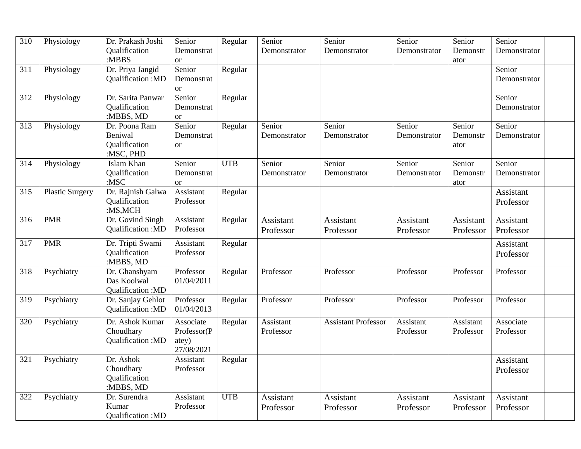| 310              | Physiology             | Dr. Prakash Joshi<br>Qualification<br>:MBBS            | Senior<br>Demonstrat<br><b>or</b>               | Regular    | Senior<br>Demonstrator        | Senior<br>Demonstrator     | Senior<br>Demonstrator | Senior<br>Demonstr<br>ator | Senior<br>Demonstrator |  |
|------------------|------------------------|--------------------------------------------------------|-------------------------------------------------|------------|-------------------------------|----------------------------|------------------------|----------------------------|------------------------|--|
| $\overline{311}$ | Physiology             | Dr. Priya Jangid<br>Qualification:MD                   | Senior<br>Demonstrat<br>or                      | Regular    |                               |                            |                        |                            | Senior<br>Demonstrator |  |
| 312              | Physiology             | Dr. Sarita Panwar<br>Qualification<br>:MBBS, MD        | Senior<br>Demonstrat<br><b>or</b>               | Regular    |                               |                            |                        |                            | Senior<br>Demonstrator |  |
| $\overline{313}$ | Physiology             | Dr. Poona Ram<br>Beniwal<br>Qualification<br>:MSC, PHD | Senior<br>Demonstrat<br><b>or</b>               | Regular    | Senior<br>Demonstrator        | Senior<br>Demonstrator     | Senior<br>Demonstrator | Senior<br>Demonstr<br>ator | Senior<br>Demonstrator |  |
| 314              | Physiology             | Islam Khan<br><b>Qualification</b><br>: $MSC$          | Senior<br>Demonstrat<br><b>or</b>               | <b>UTB</b> | Senior<br>Demonstrator        | Senior<br>Demonstrator     | Senior<br>Demonstrator | Senior<br>Demonstr<br>ator | Senior<br>Demonstrator |  |
| 315              | <b>Plastic Surgery</b> | Dr. Rajnish Galwa<br>Qualification<br>:MS,MCH          | Assistant<br>Professor                          | Regular    |                               |                            |                        |                            | Assistant<br>Professor |  |
| 316              | <b>PMR</b>             | Dr. Govind Singh<br>Qualification: MD                  | Assistant<br>Professor                          | Regular    | <b>Assistant</b><br>Professor | Assistant<br>Professor     | Assistant<br>Professor | Assistant<br>Professor     | Assistant<br>Professor |  |
| 317              | <b>PMR</b>             | Dr. Tripti Swami<br>Qualification<br>:MBBS, MD         | Assistant<br>Professor                          | Regular    |                               |                            |                        |                            | Assistant<br>Professor |  |
| 318              | Psychiatry             | Dr. Ghanshyam<br>Das Koolwal<br>Qualification: MD      | Professor<br>01/04/2011                         | Regular    | Professor                     | Professor                  | Professor              | Professor                  | Professor              |  |
| 319              | Psychiatry             | Dr. Sanjay Gehlot<br>Qualification: MD                 | Professor<br>01/04/2013                         | Regular    | Professor                     | Professor                  | Professor              | Professor                  | Professor              |  |
| 320              | Psychiatry             | Dr. Ashok Kumar<br>Choudhary<br>Qualification:MD       | Associate<br>Professor(P<br>atey)<br>27/08/2021 | Regular    | Assistant<br>Professor        | <b>Assistant Professor</b> | Assistant<br>Professor | Assistant<br>Professor     | Associate<br>Professor |  |
| 321              | Psychiatry             | Dr. Ashok<br>Choudhary<br>Qualification<br>:MBBS, MD   | Assistant<br>Professor                          | Regular    |                               |                            |                        |                            | Assistant<br>Professor |  |
| 322              | Psychiatry             | Dr. Surendra<br>Kumar<br>Qualification: MD             | Assistant<br>Professor                          | <b>UTB</b> | Assistant<br>Professor        | Assistant<br>Professor     | Assistant<br>Professor | Assistant<br>Professor     | Assistant<br>Professor |  |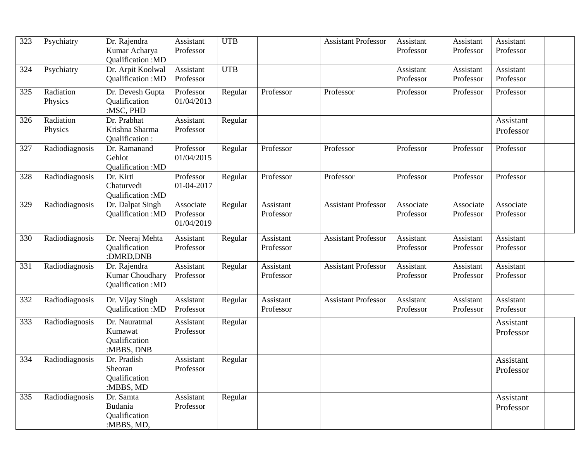| 323 | Psychiatry           | Dr. Rajendra<br>Kumar Acharya                                  | Assistant<br>Professor               | <b>UTB</b> |                        | <b>Assistant Professor</b> | Assistant<br>Professor | Assistant<br>Professor | Assistant<br>Professor |  |
|-----|----------------------|----------------------------------------------------------------|--------------------------------------|------------|------------------------|----------------------------|------------------------|------------------------|------------------------|--|
|     |                      | Qualification:MD                                               |                                      |            |                        |                            |                        |                        |                        |  |
| 324 | Psychiatry           | Dr. Arpit Koolwal<br>Qualification:MD                          | Assistant<br>Professor               | <b>UTB</b> |                        |                            | Assistant<br>Professor | Assistant<br>Professor | Assistant<br>Professor |  |
| 325 | Radiation<br>Physics | Dr. Devesh Gupta<br><b>Qualification</b><br>:MSC, PHD          | Professor<br>01/04/2013              | Regular    | Professor              | Professor                  | Professor              | Professor              | Professor              |  |
| 326 | Radiation<br>Physics | Dr. Prabhat<br>Krishna Sharma<br>Qualification:                | Assistant<br>Professor               | Regular    |                        |                            |                        |                        | Assistant<br>Professor |  |
| 327 | Radiodiagnosis       | Dr. Ramanand<br>Gehlot<br>Qualification:MD                     | Professor<br>01/04/2015              | Regular    | Professor              | Professor                  | Professor              | Professor              | Professor              |  |
| 328 | Radiodiagnosis       | Dr. Kirti<br>Chaturvedi<br>Qualification: MD                   | Professor<br>01-04-2017              | Regular    | Professor              | Professor                  | Professor              | Professor              | Professor              |  |
| 329 | Radiodiagnosis       | Dr. Dalpat Singh<br>Qualification: MD                          | Associate<br>Professor<br>01/04/2019 | Regular    | Assistant<br>Professor | <b>Assistant Professor</b> | Associate<br>Professor | Associate<br>Professor | Associate<br>Professor |  |
| 330 | Radiodiagnosis       | Dr. Neeraj Mehta<br>Qualification<br>:DMRD,DNB                 | Assistant<br>Professor               | Regular    | Assistant<br>Professor | <b>Assistant Professor</b> | Assistant<br>Professor | Assistant<br>Professor | Assistant<br>Professor |  |
| 331 | Radiodiagnosis       | Dr. Rajendra<br>Kumar Choudhary<br>Qualification: MD           | Assistant<br>Professor               | Regular    | Assistant<br>Professor | <b>Assistant Professor</b> | Assistant<br>Professor | Assistant<br>Professor | Assistant<br>Professor |  |
| 332 | Radiodiagnosis       | Dr. Vijay Singh<br>Qualification: MD                           | Assistant<br>Professor               | Regular    | Assistant<br>Professor | <b>Assistant Professor</b> | Assistant<br>Professor | Assistant<br>Professor | Assistant<br>Professor |  |
| 333 | Radiodiagnosis       | Dr. Nauratmal<br>Kumawat<br><b>Qualification</b><br>:MBBS, DNB | Assistant<br>Professor               | Regular    |                        |                            |                        |                        | Assistant<br>Professor |  |
| 334 | Radiodiagnosis       | Dr. Pradish<br>Sheoran<br>Qualification<br>:MBBS, MD           | Assistant<br>Professor               | Regular    |                        |                            |                        |                        | Assistant<br>Professor |  |
| 335 | Radiodiagnosis       | Dr. Samta<br>Budania<br>Qualification<br>:MBBS, MD,            | Assistant<br>Professor               | Regular    |                        |                            |                        |                        | Assistant<br>Professor |  |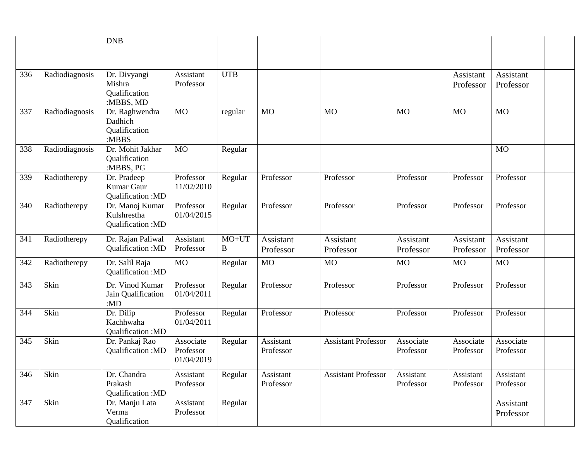|     |                | <b>DNB</b>                                           |                                      |              |                        |                            |                        |                        |                        |  |
|-----|----------------|------------------------------------------------------|--------------------------------------|--------------|------------------------|----------------------------|------------------------|------------------------|------------------------|--|
|     |                |                                                      |                                      |              |                        |                            |                        |                        |                        |  |
| 336 | Radiodiagnosis | Dr. Divyangi<br>Mishra<br>Qualification<br>:MBBS, MD | Assistant<br>Professor               | <b>UTB</b>   |                        |                            |                        | Assistant<br>Professor | Assistant<br>Professor |  |
| 337 | Radiodiagnosis | Dr. Raghwendra<br>Dadhich<br>Qualification<br>:MBBS  | <b>MO</b>                            | regular      | <b>MO</b>              | <b>MO</b>                  | <b>MO</b>              | <b>MO</b>              | <b>MO</b>              |  |
| 338 | Radiodiagnosis | Dr. Mohit Jakhar<br>Qualification<br>:MBBS, PG       | <b>MO</b>                            | Regular      |                        |                            |                        |                        | <b>MO</b>              |  |
| 339 | Radiotherepy   | Dr. Pradeep<br>Kumar Gaur<br>Qualification: MD       | Professor<br>11/02/2010              | Regular      | Professor              | Professor                  | Professor              | Professor              | Professor              |  |
| 340 | Radiotherepy   | Dr. Manoj Kumar<br>Kulshrestha<br>Qualification: MD  | Professor<br>01/04/2015              | Regular      | Professor              | Professor                  | Professor              | Professor              | Professor              |  |
| 341 | Radiotherepy   | Dr. Rajan Paliwal<br>Qualification: MD               | Assistant<br>Professor               | $MO+UT$<br>B | Assistant<br>Professor | Assistant<br>Professor     | Assistant<br>Professor | Assistant<br>Professor | Assistant<br>Professor |  |
| 342 | Radiotherepy   | Dr. Salil Raja<br>Qualification: MD                  | <b>MO</b>                            | Regular      | <b>MO</b>              | <b>MO</b>                  | <b>MO</b>              | <b>MO</b>              | <b>MO</b>              |  |
| 343 | Skin           | Dr. Vinod Kumar<br>Jain Qualification<br>: $MD$      | Professor<br>01/04/2011              | Regular      | Professor              | Professor                  | Professor              | Professor              | Professor              |  |
| 344 | Skin           | Dr. Dilip<br>Kachhwaha<br>Qualification: MD          | Professor<br>01/04/2011              | Regular      | Professor              | Professor                  | Professor              | Professor              | Professor              |  |
| 345 | Skin           | Dr. Pankaj Rao<br>Qualification: MD                  | Associate<br>Professor<br>01/04/2019 | Regular      | Assistant<br>Professor | <b>Assistant Professor</b> | Associate<br>Professor | Associate<br>Professor | Associate<br>Professor |  |
| 346 | Skin           | Dr. Chandra<br>Prakash<br>Qualification: MD          | Assistant<br>Professor               | Regular      | Assistant<br>Professor | <b>Assistant Professor</b> | Assistant<br>Professor | Assistant<br>Professor | Assistant<br>Professor |  |
| 347 | Skin           | Dr. Manju Lata<br>Verma<br>Qualification             | Assistant<br>Professor               | Regular      |                        |                            |                        |                        | Assistant<br>Professor |  |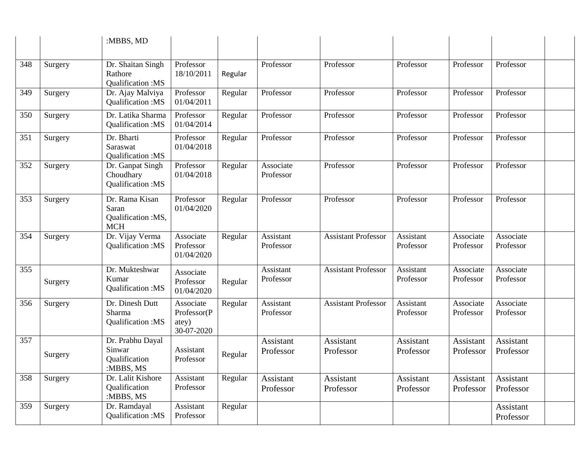|     |         | :MBBS, MD                                                   |                                                 |         |                               |                            |                        |                        |                        |  |
|-----|---------|-------------------------------------------------------------|-------------------------------------------------|---------|-------------------------------|----------------------------|------------------------|------------------------|------------------------|--|
|     |         |                                                             |                                                 |         |                               |                            |                        |                        |                        |  |
| 348 | Surgery | Dr. Shaitan Singh<br>Rathore<br>Qualification: MS           | Professor<br>18/10/2011                         | Regular | Professor                     | Professor                  | Professor              | Professor              | Professor              |  |
| 349 | Surgery | Dr. Ajay Malviya<br>Qualification: MS                       | Professor<br>01/04/2011                         | Regular | Professor                     | Professor                  | Professor              | Professor              | Professor              |  |
| 350 | Surgery | Dr. Latika Sharma<br>Qualification: MS                      | Professor<br>01/04/2014                         | Regular | Professor                     | Professor                  | Professor              | Professor              | Professor              |  |
| 351 | Surgery | Dr. Bharti<br>Saraswat<br>Qualification: MS                 | Professor<br>01/04/2018                         | Regular | Professor                     | Professor                  | Professor              | Professor              | Professor              |  |
| 352 | Surgery | Dr. Ganpat Singh<br>Choudhary<br>Qualification: MS          | Professor<br>01/04/2018                         | Regular | Associate<br>Professor        | Professor                  | Professor              | Professor              | Professor              |  |
| 353 | Surgery | Dr. Rama Kisan<br>Saran<br>Qualification :MS,<br><b>MCH</b> | Professor<br>01/04/2020                         | Regular | Professor                     | Professor                  | Professor              | Professor              | Professor              |  |
| 354 | Surgery | Dr. Vijay Verma<br>Qualification:MS                         | Associate<br>Professor<br>01/04/2020            | Regular | Assistant<br>Professor        | <b>Assistant Professor</b> | Assistant<br>Professor | Associate<br>Professor | Associate<br>Professor |  |
| 355 | Surgery | Dr. Mukteshwar<br>Kumar<br>Qualification:MS                 | Associate<br>Professor<br>01/04/2020            | Regular | Assistant<br>Professor        | <b>Assistant Professor</b> | Assistant<br>Professor | Associate<br>Professor | Associate<br>Professor |  |
| 356 | Surgery | Dr. Dinesh Dutt<br>Sharma<br>Qualification: MS              | Associate<br>Professor(P<br>atey)<br>30-07-2020 | Regular | Assistant<br>Professor        | <b>Assistant Professor</b> | Assistant<br>Professor | Associate<br>Professor | Associate<br>Professor |  |
| 357 | Surgery | Dr. Prabhu Dayal<br>Sinwar<br>Qualification<br>:MBBS, MS    | Assistant<br>Professor                          | Regular | <b>Assistant</b><br>Professor | Assistant<br>Professor     | Assistant<br>Professor | Assistant<br>Professor | Assistant<br>Professor |  |
| 358 | Surgery | Dr. Lalit Kishore<br>Qualification<br>:MBBS, MS             | Assistant<br>Professor                          | Regular | Assistant<br>Professor        | Assistant<br>Professor     | Assistant<br>Professor | Assistant<br>Professor | Assistant<br>Professor |  |
| 359 | Surgery | Dr. Ramdayal<br>Qualification:MS                            | Assistant<br>Professor                          | Regular |                               |                            |                        |                        | Assistant<br>Professor |  |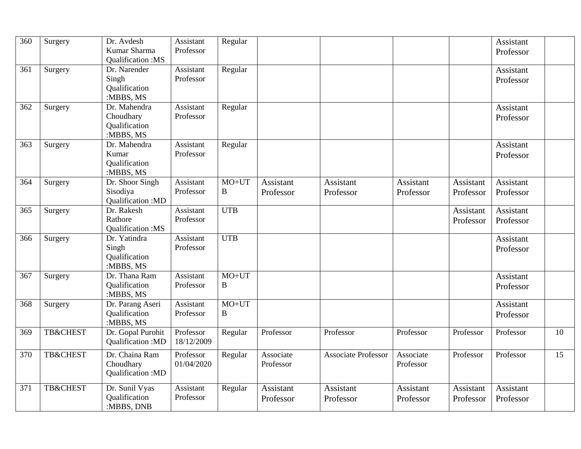| $\overline{360}$ | Surgery             | Dr. Avdesh<br>Kumar Sharma<br>Qualification:MS          | <b>Assistant</b><br>Professor | Regular             |                        |                            |                        |                        | Assistant<br>Professor |    |
|------------------|---------------------|---------------------------------------------------------|-------------------------------|---------------------|------------------------|----------------------------|------------------------|------------------------|------------------------|----|
| 361              | Surgery             | Dr. Narender<br>Singh<br>Qualification<br>:MBBS, MS     | Assistant<br>Professor        | Regular             |                        |                            |                        |                        | Assistant<br>Professor |    |
| 362              | Surgery             | Dr. Mahendra<br>Choudhary<br>Qualification<br>:MBBS, MS | Assistant<br>Professor        | Regular             |                        |                            |                        |                        | Assistant<br>Professor |    |
| 363              | Surgery             | Dr. Mahendra<br>Kumar<br>Qualification<br>:MBBS, MS     | Assistant<br>Professor        | Regular             |                        |                            |                        |                        | Assistant<br>Professor |    |
| 364              | Surgery             | Dr. Shoor Singh<br>Sisodiya<br>Qualification: MD        | Assistant<br>Professor        | $MO+UT$<br>B        | Assistant<br>Professor | Assistant<br>Professor     | Assistant<br>Professor | Assistant<br>Professor | Assistant<br>Professor |    |
| 365              | Surgery             | Dr. Rakesh<br>Rathore<br>Qualification: MS              | Assistant<br>Professor        | <b>UTB</b>          |                        |                            |                        | Assistant<br>Professor | Assistant<br>Professor |    |
| 366              | Surgery             | Dr. Yatindra<br>Singh<br>Qualification<br>:MBBS, MS     | Assistant<br>Professor        | <b>UTB</b>          |                        |                            |                        |                        | Assistant<br>Professor |    |
| 367              | Surgery             | Dr. Thana Ram<br>Qualification<br>:MBBS, MS             | Assistant<br>Professor        | $MO+UT$<br>$\bf{B}$ |                        |                            |                        |                        | Assistant<br>Professor |    |
| 368              | Surgery             | Dr. Parang Aseri<br>Qualification<br>:MBBS, MS          | Assistant<br>Professor        | $MO+UT$<br>$\bf{B}$ |                        |                            |                        |                        | Assistant<br>Professor |    |
| 369              | <b>TB&amp;CHEST</b> | Dr. Gopal Purohit<br>Qualification:MD                   | Professor<br>18/12/2009       | Regular             | Professor              | Professor                  | Professor              | Professor              | Professor              | 10 |
| 370              | <b>TB&amp;CHEST</b> | Dr. Chaina Ram<br>Choudhary<br>Qualification: MD        | Professor<br>01/04/2020       | Regular             | Associate<br>Professor | <b>Associate Professor</b> | Associate<br>Professor | Professor              | Professor              | 15 |
| 371              | <b>TB&amp;CHEST</b> | Dr. Sunil Vyas<br>Qualification<br>:MBBS, DNB           | Assistant<br>Professor        | Regular             | Assistant<br>Professor | Assistant<br>Professor     | Assistant<br>Professor | Assistant<br>Professor | Assistant<br>Professor |    |